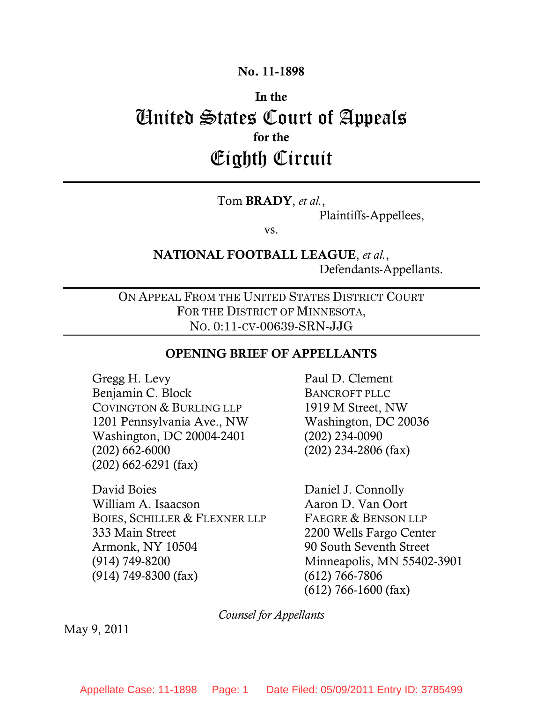### **No. 11-1898**

# **In the**  United States Court of Appeals **for the**  Eighth Circuit

### Tom **BRADY**, *et al.*,

Plaintiffs-Appellees,

vs.

### **NATIONAL FOOTBALL LEAGUE**, *et al.*, Defendants-Appellants.

ON APPEAL FROM THE UNITED STATES DISTRICT COURT FOR THE DISTRICT OF MINNESOTA, NO. 0:11-CV-00639-SRN-JJG

#### **OPENING BRIEF OF APPELLANTS**

Gregg H. Levy Benjamin C. Block COVINGTON & BURLING LLP 1201 Pennsylvania Ave., NW Washington, DC 20004-2401 (202) 662-6000 (202) 662-6291 (fax)

David Boies William A. Isaacson BOIES, SCHILLER & FLEXNER LLP 333 Main Street Armonk, NY 10504 (914) 749-8200 (914) 749-8300 (fax)

Paul D. Clement BANCROFT PLLC 1919 M Street, NW Washington, DC 20036 (202) 234-0090 (202) 234-2806 (fax)

Daniel J. Connolly Aaron D. Van Oort FAEGRE & BENSON LLP 2200 Wells Fargo Center 90 South Seventh Street Minneapolis, MN 55402-3901 (612) 766-7806 (612) 766-1600 (fax)

*Counsel for Appellants*

May 9, 2011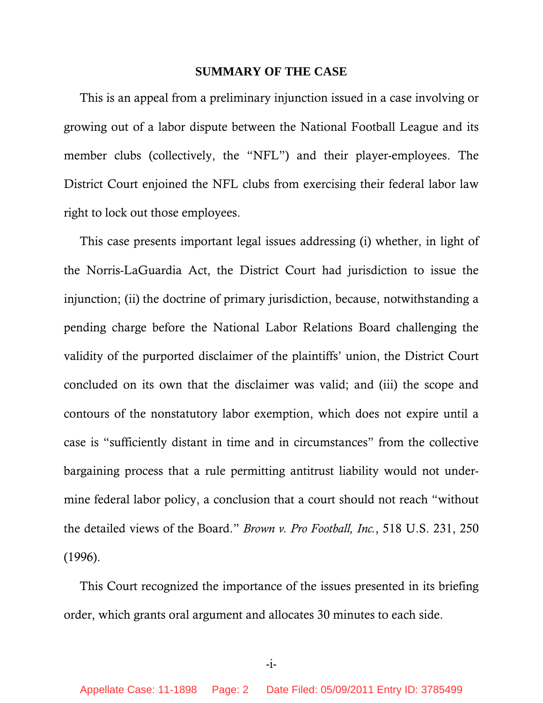#### **SUMMARY OF THE CASE**

This is an appeal from a preliminary injunction issued in a case involving or growing out of a labor dispute between the National Football League and its member clubs (collectively, the "NFL") and their player-employees. The District Court enjoined the NFL clubs from exercising their federal labor law right to lock out those employees.

This case presents important legal issues addressing (i) whether, in light of the Norris-LaGuardia Act, the District Court had jurisdiction to issue the injunction; (ii) the doctrine of primary jurisdiction, because, notwithstanding a pending charge before the National Labor Relations Board challenging the validity of the purported disclaimer of the plaintiffs' union, the District Court concluded on its own that the disclaimer was valid; and (iii) the scope and contours of the nonstatutory labor exemption, which does not expire until a case is "sufficiently distant in time and in circumstances" from the collective bargaining process that a rule permitting antitrust liability would not undermine federal labor policy, a conclusion that a court should not reach "without the detailed views of the Board." *Brown v. Pro Football, Inc.*, 518 U.S. 231, 250 (1996).

This Court recognized the importance of the issues presented in its briefing order, which grants oral argument and allocates 30 minutes to each side.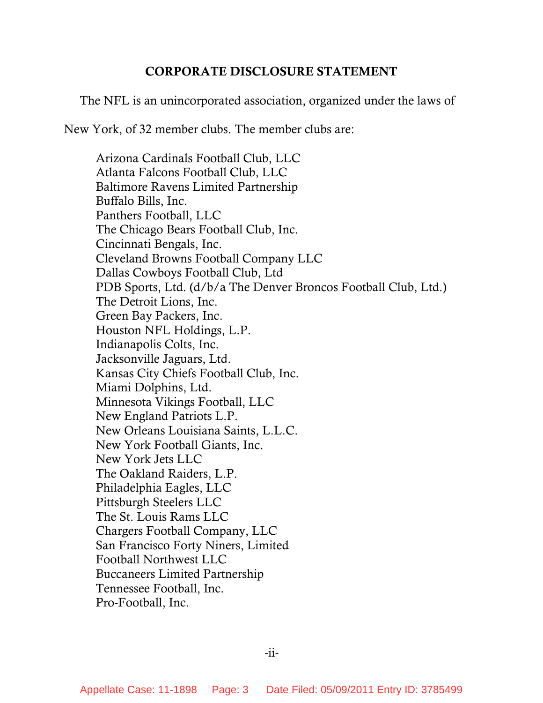### **CORPORATE DISCLOSURE STATEMENT**

The NFL is an unincorporated association, organized under the laws of

New York, of 32 member clubs. The member clubs are:

Arizona Cardinals Football Club, LLC Atlanta Falcons Football Club, LLC Baltimore Ravens Limited Partnership Buffalo Bills, Inc. Panthers Football, LLC The Chicago Bears Football Club, Inc. Cincinnati Bengals, Inc. Cleveland Browns Football Company LLC Dallas Cowboys Football Club, Ltd PDB Sports, Ltd. (d/b/a The Denver Broncos Football Club, Ltd.) The Detroit Lions, Inc. Green Bay Packers, Inc. Houston NFL Holdings, L.P. Indianapolis Colts, Inc. Jacksonville Jaguars, Ltd. Kansas City Chiefs Football Club, Inc. Miami Dolphins, Ltd. Minnesota Vikings Football, LLC New England Patriots L.P. New Orleans Louisiana Saints, L.L.C. New York Football Giants, Inc. New York Jets LLC The Oakland Raiders, L.P. Philadelphia Eagles, LLC Pittsburgh Steelers LLC The St. Louis Rams LLC Chargers Football Company, LLC San Francisco Forty Niners, Limited Football Northwest LLC Buccaneers Limited Partnership Tennessee Football, Inc. Pro-Football, Inc.

-ii-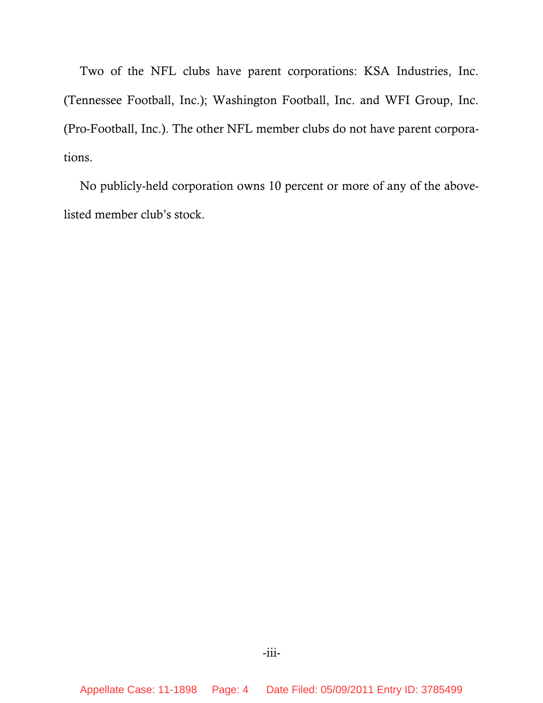Two of the NFL clubs have parent corporations: KSA Industries, Inc. (Tennessee Football, Inc.); Washington Football, Inc. and WFI Group, Inc. (Pro-Football, Inc.). The other NFL member clubs do not have parent corporations.

No publicly-held corporation owns 10 percent or more of any of the abovelisted member club's stock.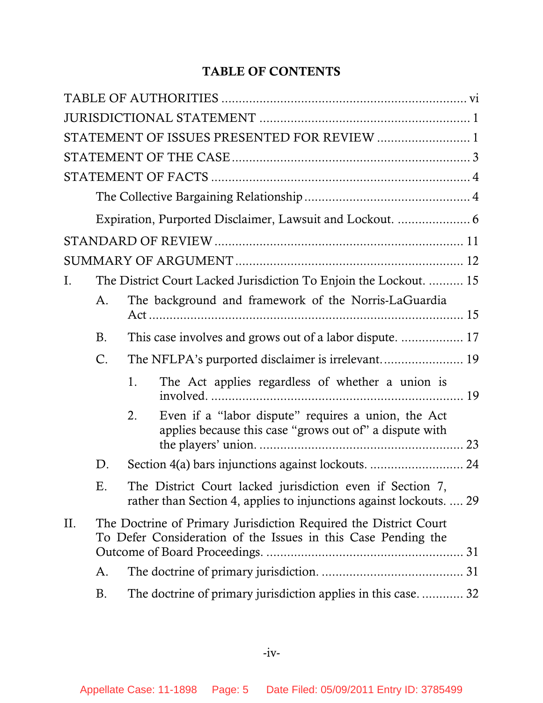### **TABLE OF CONTENTS**

|     |                                                                                                                                   |    | STATEMENT OF ISSUES PRESENTED FOR REVIEW  1                                                                                      |  |
|-----|-----------------------------------------------------------------------------------------------------------------------------------|----|----------------------------------------------------------------------------------------------------------------------------------|--|
|     |                                                                                                                                   |    |                                                                                                                                  |  |
|     |                                                                                                                                   |    |                                                                                                                                  |  |
|     |                                                                                                                                   |    |                                                                                                                                  |  |
|     |                                                                                                                                   |    |                                                                                                                                  |  |
|     |                                                                                                                                   |    |                                                                                                                                  |  |
|     |                                                                                                                                   |    |                                                                                                                                  |  |
| Ι.  |                                                                                                                                   |    | The District Court Lacked Jurisdiction To Enjoin the Lockout.  15                                                                |  |
|     | A.                                                                                                                                |    | The background and framework of the Norris-LaGuardia                                                                             |  |
|     | <b>B.</b>                                                                                                                         |    | This case involves and grows out of a labor dispute.  17                                                                         |  |
|     | C.                                                                                                                                |    |                                                                                                                                  |  |
|     |                                                                                                                                   | 1. | The Act applies regardless of whether a union is                                                                                 |  |
|     |                                                                                                                                   | 2. | Even if a "labor dispute" requires a union, the Act<br>applies because this case "grows out of" a dispute with                   |  |
|     | D.                                                                                                                                |    | Section 4(a) bars injunctions against lockouts.  24                                                                              |  |
|     | Ε.                                                                                                                                |    | The District Court lacked jurisdiction even if Section 7,<br>rather than Section 4, applies to injunctions against lockouts.  29 |  |
| II. | The Doctrine of Primary Jurisdiction Required the District Court<br>To Defer Consideration of the Issues in this Case Pending the |    |                                                                                                                                  |  |
|     | A.                                                                                                                                |    |                                                                                                                                  |  |
|     | В.                                                                                                                                |    | The doctrine of primary jurisdiction applies in this case 32                                                                     |  |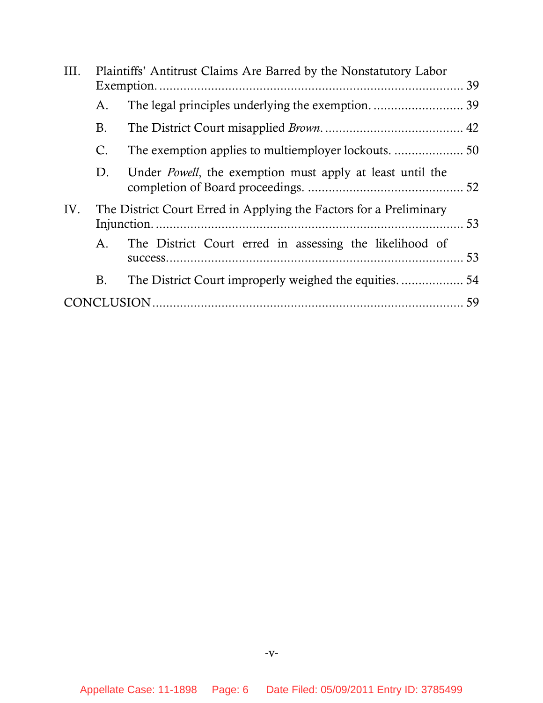| III. |    | Plaintiffs' Antitrust Claims Are Barred by the Nonstatutory Labor  |  |
|------|----|--------------------------------------------------------------------|--|
|      |    |                                                                    |  |
|      | А. |                                                                    |  |
|      | B. |                                                                    |  |
|      | C. |                                                                    |  |
|      | D. | Under <i>Powell</i> , the exemption must apply at least until the  |  |
| IV.  |    | The District Court Erred in Applying the Factors for a Preliminary |  |
|      | А. | The District Court erred in assessing the likelihood of            |  |
|      | B. |                                                                    |  |
|      |    |                                                                    |  |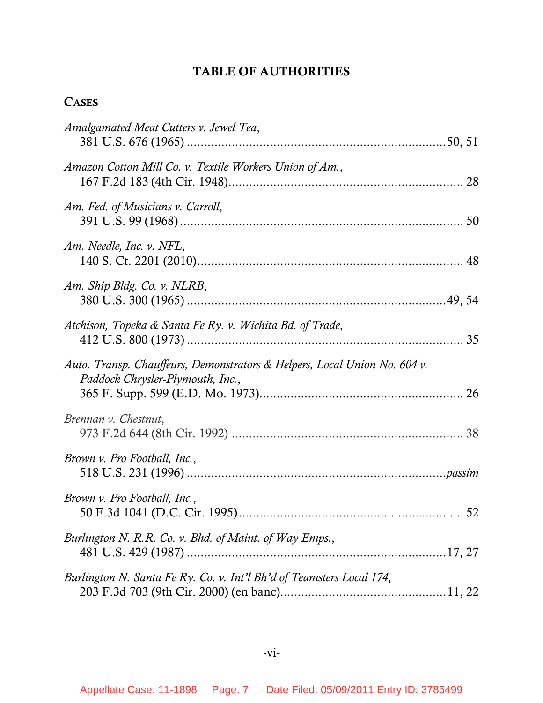### **TABLE OF AUTHORITIES**

### <span id="page-6-0"></span>**CASES**

| Amalgamated Meat Cutters v. Jewel Tea,                                                                        |  |
|---------------------------------------------------------------------------------------------------------------|--|
| Amazon Cotton Mill Co. v. Textile Workers Union of Am.,                                                       |  |
| Am. Fed. of Musicians v. Carroll,                                                                             |  |
| Am. Needle, Inc. v. NFL,                                                                                      |  |
| Am. Ship Bldg. Co. v. NLRB,                                                                                   |  |
| Atchison, Topeka & Santa Fe Ry. v. Wichita Bd. of Trade,                                                      |  |
| Auto. Transp. Chauffeurs, Demonstrators & Helpers, Local Union No. 604 v.<br>Paddock Chrysler-Plymouth, Inc., |  |
| Brennan v. Chestnut,                                                                                          |  |
| <i>Brown v. Pro Football, Inc.,</i>                                                                           |  |
| <i>Brown v. Pro Football, Inc.,</i>                                                                           |  |
| Burlington N. R.R. Co. v. Bhd. of Maint. of Way Emps.,                                                        |  |
| Burlington N. Santa Fe Ry. Co. v. Int'l Bh'd of Teamsters Local 174,                                          |  |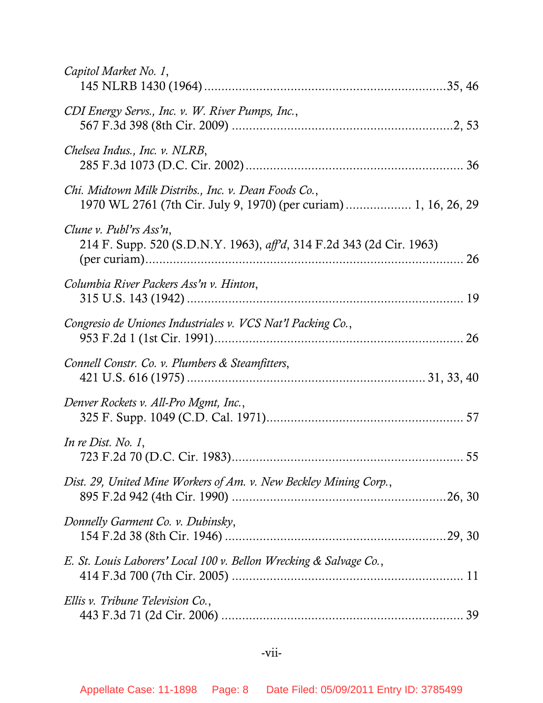| Capitol Market No. 1,                                                                                                    |
|--------------------------------------------------------------------------------------------------------------------------|
| CDI Energy Servs., Inc. v. W. River Pumps, Inc.,                                                                         |
| Chelsea Indus., Inc. v. NLRB,                                                                                            |
| Chi. Midtown Milk Distribs., Inc. v. Dean Foods Co.,<br>1970 WL 2761 (7th Cir. July 9, 1970) (per curiam)  1, 16, 26, 29 |
| Clune v. Publ'rs Ass'n,<br>214 F. Supp. 520 (S.D.N.Y. 1963), aff'd, 314 F.2d 343 (2d Cir. 1963)                          |
| Columbia River Packers Ass'n v. Hinton,                                                                                  |
| Congresio de Uniones Industriales v. VCS Nat'l Packing Co.,                                                              |
| Connell Constr. Co. v. Plumbers & Steamfitters,                                                                          |
| Denver Rockets v. All-Pro Mgmt, Inc.,                                                                                    |
| In re Dist. No. $1$ ,                                                                                                    |
| Dist. 29, United Mine Workers of Am. v. New Beckley Mining Corp.,                                                        |
| Donnelly Garment Co. v. Dubinsky,                                                                                        |
| E. St. Louis Laborers' Local 100 v. Bellon Wrecking & Salvage Co.,                                                       |
| Ellis v. Tribune Television Co.,                                                                                         |

### -vii-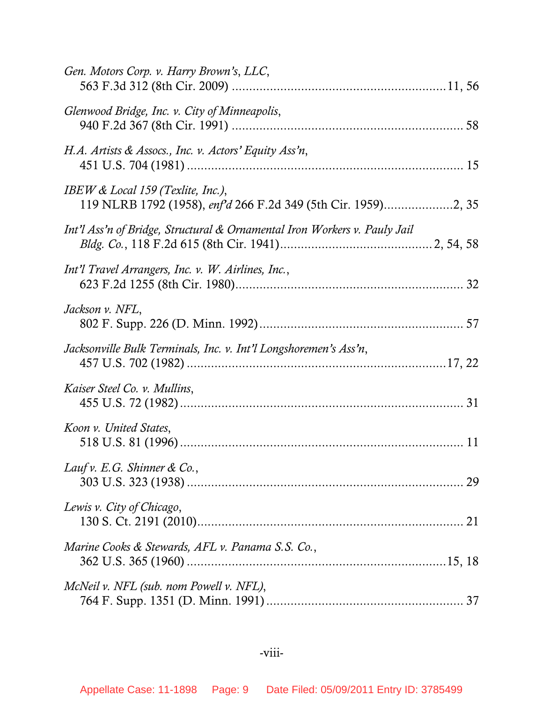| Gen. Motors Corp. v. Harry Brown's, LLC,                                  |
|---------------------------------------------------------------------------|
| Glenwood Bridge, Inc. v. City of Minneapolis,                             |
| H.A. Artists & Assocs., Inc. v. Actors' Equity Ass'n,                     |
| IBEW & Local 159 (Texlite, Inc.),                                         |
| Int'l Ass'n of Bridge, Structural & Ornamental Iron Workers v. Pauly Jail |
| Int'l Travel Arrangers, Inc. v. W. Airlines, Inc.,                        |
| Jackson v. NFL,                                                           |
| Jacksonville Bulk Terminals, Inc. v. Int'l Longshoremen's Ass'n,          |
| Kaiser Steel Co. v. Mullins,                                              |
| Koon v. United States,                                                    |
| Lauf v. E.G. Shinner & Co.,                                               |
| Lewis v. City of Chicago,                                                 |
| Marine Cooks & Stewards, AFL v. Panama S.S. Co.,                          |
| McNeil v. NFL (sub. nom Powell v. NFL),                                   |

## -viii-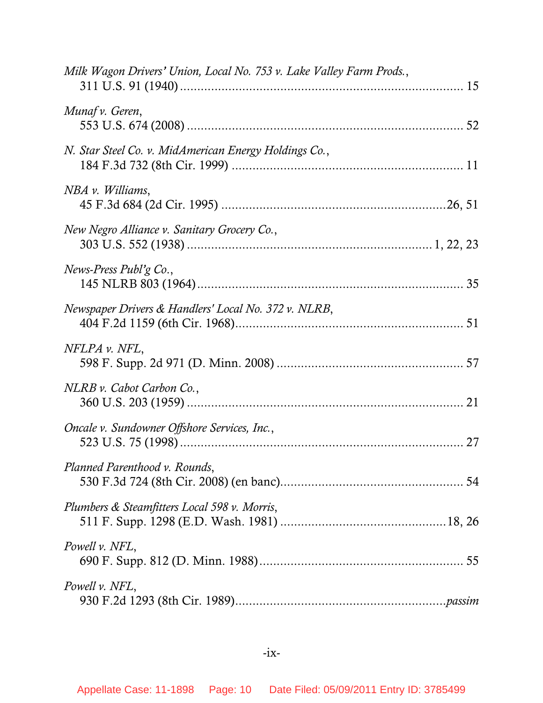| Milk Wagon Drivers' Union, Local No. 753 v. Lake Valley Farm Prods., |  |
|----------------------------------------------------------------------|--|
| Munaf v. Geren,                                                      |  |
| N. Star Steel Co. v. MidAmerican Energy Holdings Co.,                |  |
| NBA v. Williams,                                                     |  |
| New Negro Alliance v. Sanitary Grocery Co.,                          |  |
| News-Press Publ'g $Co$ ,                                             |  |
| Newspaper Drivers & Handlers' Local No. 372 v. NLRB,                 |  |
| NFLPA v. NFL,                                                        |  |
| NLRB v. Cabot Carbon Co.,                                            |  |
| Oncale v. Sundowner Offshore Services, Inc.,                         |  |
| Planned Parenthood v. Rounds,                                        |  |
| Plumbers & Steamfitters Local 598 v. Morris,                         |  |
| Powell v. NFL,                                                       |  |
| Powell v. NFL,                                                       |  |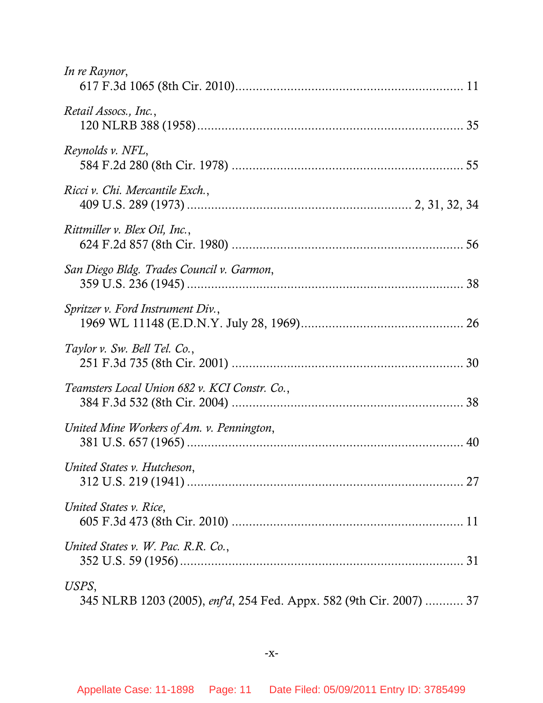| In re Raynor,                                                               |
|-----------------------------------------------------------------------------|
| Retail Assocs., Inc.,                                                       |
| Reynolds v. NFL,                                                            |
| Ricci v. Chi. Mercantile Exch.,                                             |
| Rittmiller v. Blex Oil, Inc.,                                               |
| San Diego Bldg. Trades Council v. Garmon,                                   |
| Spritzer v. Ford Instrument Div.,                                           |
| Taylor v. Sw. Bell Tel. Co.,                                                |
| Teamsters Local Union 682 v. KCI Constr. Co.,                               |
| United Mine Workers of Am. v. Pennington,                                   |
| United States v. Hutcheson,                                                 |
| United States v. Rice,                                                      |
| United States v. W. Pac. R.R. Co.,                                          |
| USPS,<br>345 NLRB 1203 (2005), enfd, 254 Fed. Appx. 582 (9th Cir. 2007)  37 |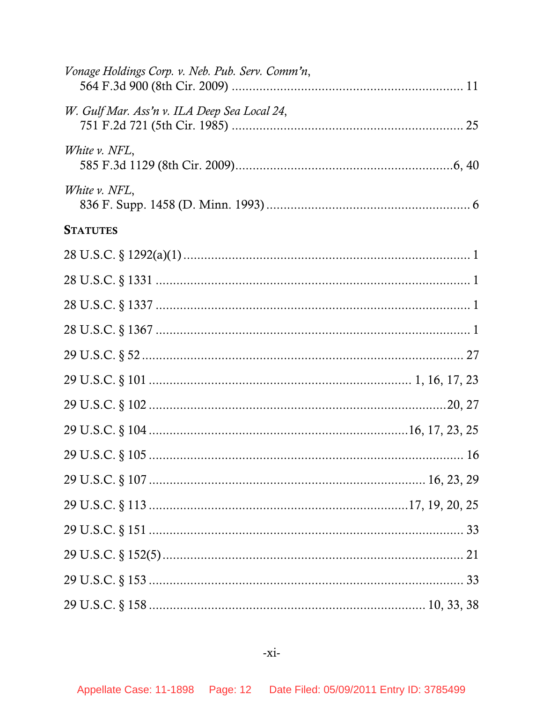| Vonage Holdings Corp. v. Neb. Pub. Serv. Comm'n, |  |
|--------------------------------------------------|--|
| W. Gulf Mar. Ass'n v. ILA Deep Sea Local 24,     |  |
| White v. NFL,                                    |  |
| White v. NFL,                                    |  |
| <b>STATUTES</b>                                  |  |
|                                                  |  |
|                                                  |  |
|                                                  |  |
|                                                  |  |
|                                                  |  |
|                                                  |  |
|                                                  |  |
|                                                  |  |
|                                                  |  |
|                                                  |  |
|                                                  |  |
|                                                  |  |
|                                                  |  |
|                                                  |  |
|                                                  |  |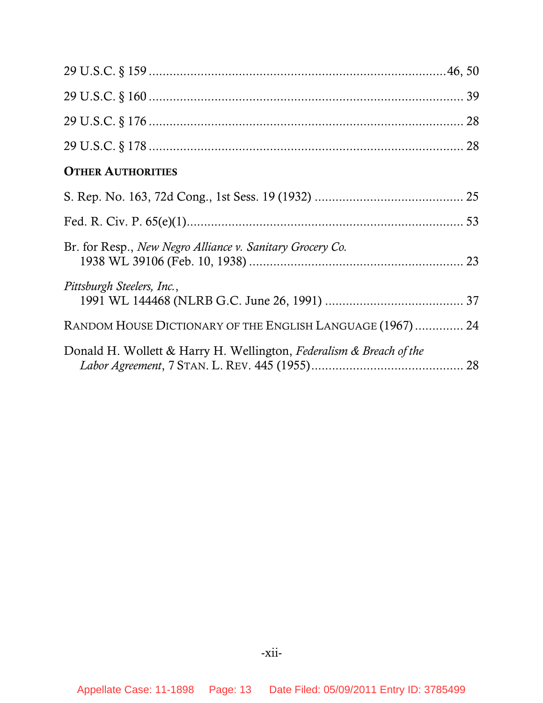| <b>OTHER AUTHORITIES</b>                                            |  |
|---------------------------------------------------------------------|--|
|                                                                     |  |
|                                                                     |  |
| Br. for Resp., New Negro Alliance v. Sanitary Grocery Co.           |  |
| Pittsburgh Steelers, Inc.,                                          |  |
| RANDOM HOUSE DICTIONARY OF THE ENGLISH LANGUAGE (1967)  24          |  |
| Donald H. Wollett & Harry H. Wellington, Federalism & Breach of the |  |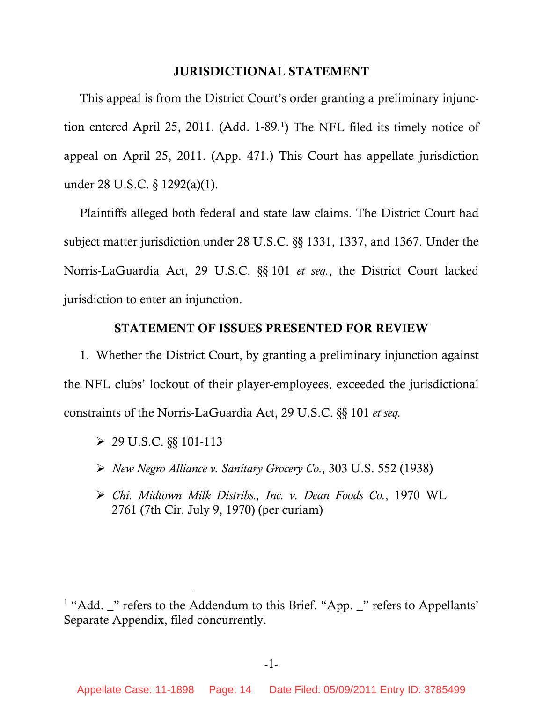### **JURISDICTIONAL STATEMENT**

<span id="page-13-0"></span>This appeal is from the District Court's order granting a preliminary injunc-tion entered April 25, 20[1](#page-13-1)1. (Add. 1-89.<sup>1</sup>) The NFL filed its timely notice of appeal on April 25, 2011. (App. 471.) This Court has appellate jurisdiction under 28 U.S.C. § 1292(a)(1).

Plaintiffs alleged both federal and state law claims. The District Court had subject matter jurisdiction under 28 U.S.C. §§ 1331, 1337, and 1367. Under the Norris-LaGuardia Act, 29 U.S.C. §§ 101 *et seq.*, the District Court lacked jurisdiction to enter an injunction.

### **STATEMENT OF ISSUES PRESENTED FOR REVIEW**

1. Whether the District Court, by granting a preliminary injunction against the NFL clubs' lockout of their player-employees, exceeded the jurisdictional constraints of the Norris-LaGuardia Act, 29 U.S.C. §§ 101 *et seq.* 

 $\geq 29$  U.S.C. §§ 101-113

 $\overline{a}$ 

- ¾ *New Negro Alliance v. Sanitary Grocery Co.*, 303 U.S. 552 (1938)
- ¾ *Chi. Midtown Milk Distribs., Inc. v. Dean Foods Co.*, 1970 WL 2761 (7th Cir. July 9, 1970) (per curiam)

<span id="page-13-1"></span> $<sup>1</sup>$  "Add.  $<sup>1</sup>$ " refers to the Addendum to this Brief. "App.  $<sup>2</sup>$ " refers to Appellants'</sup></sup></sup> Separate Appendix, filed concurrently.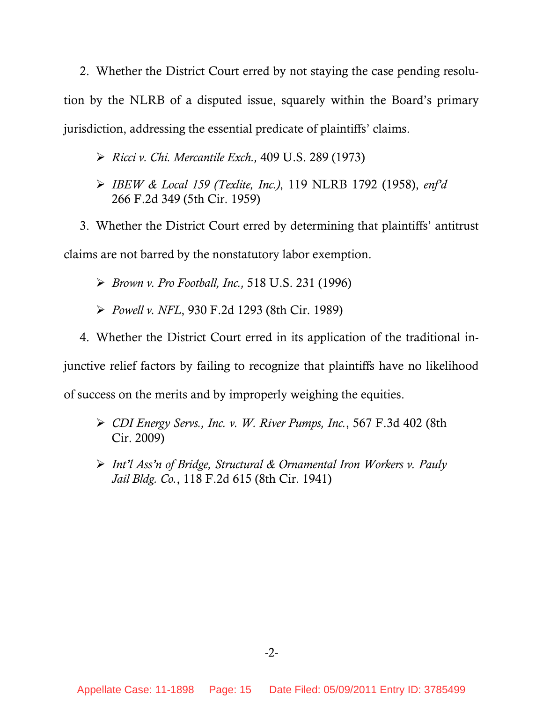2. Whether the District Court erred by not staying the case pending resolution by the NLRB of a disputed issue, squarely within the Board's primary jurisdiction, addressing the essential predicate of plaintiffs' claims.

### ¾ *Ricci v. Chi. Mercantile Exch.,* 409 U.S. 289 (1973)

¾ *IBEW & Local 159 (Texlite, Inc.)*, 119 NLRB 1792 (1958), *enf'd* 266 F.2d 349 (5th Cir. 1959)

3. Whether the District Court erred by determining that plaintiffs' antitrust claims are not barred by the nonstatutory labor exemption.

¾ *Brown v. Pro Football, Inc.,* 518 U.S. 231 (1996)

¾ *Powell v. NFL*, 930 F.2d 1293 (8th Cir. 1989)

4. Whether the District Court erred in its application of the traditional in-

junctive relief factors by failing to recognize that plaintiffs have no likelihood of success on the merits and by improperly weighing the equities.

- ¾ *CDI Energy Servs., Inc. v. W. River Pumps, Inc.*, 567 F.3d 402 (8th Cir. 2009)
- ¾ *Int'l Ass'n of Bridge, Structural & Ornamental Iron Workers v. Pauly Jail Bldg. Co.*, 118 F.2d 615 (8th Cir. 1941)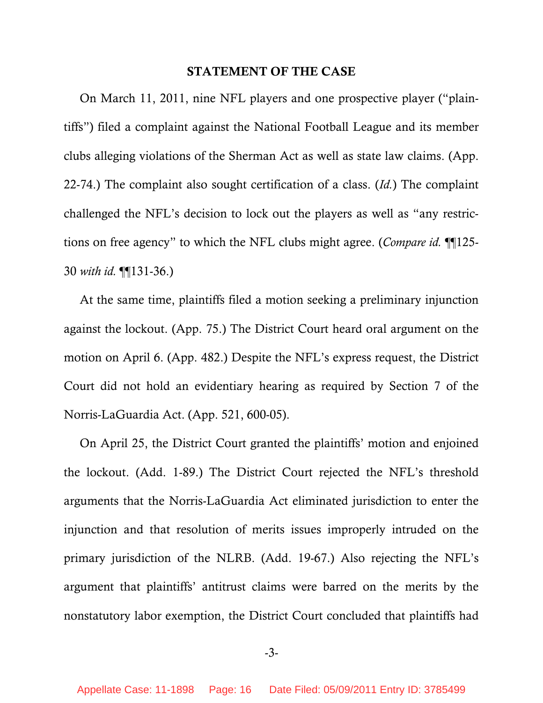#### **STATEMENT OF THE CASE**

<span id="page-15-0"></span>On March 11, 2011, nine NFL players and one prospective player ("plaintiffs") filed a complaint against the National Football League and its member clubs alleging violations of the Sherman Act as well as state law claims. (App. 22-74.) The complaint also sought certification of a class. (*Id.*) The complaint challenged the NFL's decision to lock out the players as well as "any restrictions on free agency" to which the NFL clubs might agree. (*Compare id.* ¶¶125- 30 *with id.* ¶¶131-36.)

At the same time, plaintiffs filed a motion seeking a preliminary injunction against the lockout. (App. 75.) The District Court heard oral argument on the motion on April 6. (App. 482.) Despite the NFL's express request, the District Court did not hold an evidentiary hearing as required by Section 7 of the Norris-LaGuardia Act. (App. 521, 600-05).

On April 25, the District Court granted the plaintiffs' motion and enjoined the lockout. (Add. 1-89.) The District Court rejected the NFL's threshold arguments that the Norris-LaGuardia Act eliminated jurisdiction to enter the injunction and that resolution of merits issues improperly intruded on the primary jurisdiction of the NLRB. (Add. 19-67.) Also rejecting the NFL's argument that plaintiffs' antitrust claims were barred on the merits by the nonstatutory labor exemption, the District Court concluded that plaintiffs had

-3-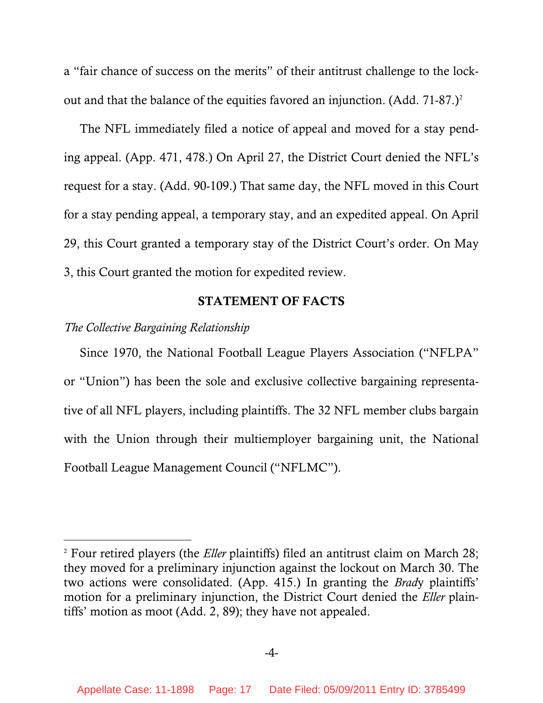<span id="page-16-0"></span>a "fair chance of success on the merits" of their antitrust challenge to the lockout and that the balance of the equities favored an injunction. (Add.  $71-87.$ )<sup>[2](#page-16-1)</sup>

The NFL immediately filed a notice of appeal and moved for a stay pending appeal. (App. 471, 478.) On April 27, the District Court denied the NFL's request for a stay. (Add. 90-109.) That same day, the NFL moved in this Court for a stay pending appeal, a temporary stay, and an expedited appeal. On April 29, this Court granted a temporary stay of the District Court's order. On May 3, this Court granted the motion for expedited review.

### **STATEMENT OF FACTS**

### *The Collective Bargaining Relationship*

 $\overline{a}$ 

Since 1970, the National Football League Players Association ("NFLPA" or "Union") has been the sole and exclusive collective bargaining representative of all NFL players, including plaintiffs. The 32 NFL member clubs bargain with the Union through their multiemployer bargaining unit, the National Football League Management Council ("NFLMC").

<span id="page-16-1"></span><sup>2</sup> Four retired players (the *Eller* plaintiffs) filed an antitrust claim on March 28; they moved for a preliminary injunction against the lockout on March 30. The two actions were consolidated. (App. 415.) In granting the *Brad*y plaintiffs' motion for a preliminary injunction, the District Court denied the *Eller* plaintiffs' motion as moot (Add. 2, 89); they have not appealed.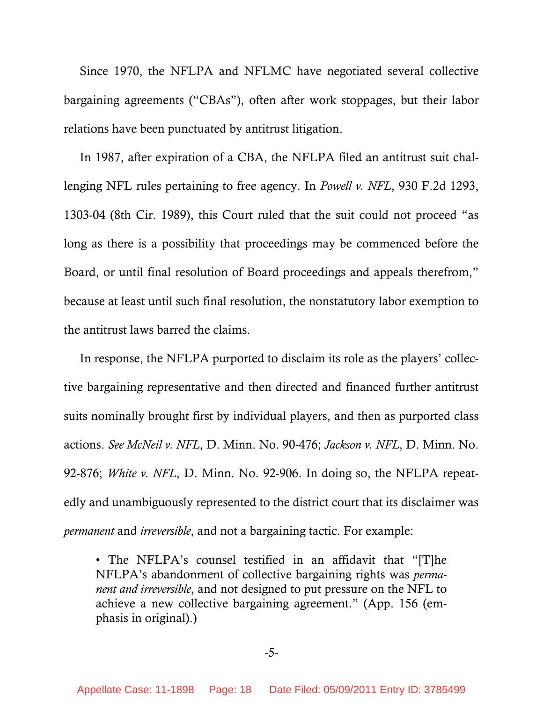Since 1970, the NFLPA and NFLMC have negotiated several collective bargaining agreements ("CBAs"), often after work stoppages, but their labor relations have been punctuated by antitrust litigation.

In 1987, after expiration of a CBA, the NFLPA filed an antitrust suit challenging NFL rules pertaining to free agency. In *Powell v. NFL*, 930 F.2d 1293, 1303-04 (8th Cir. 1989), this Court ruled that the suit could not proceed "as long as there is a possibility that proceedings may be commenced before the Board, or until final resolution of Board proceedings and appeals therefrom," because at least until such final resolution, the nonstatutory labor exemption to the antitrust laws barred the claims.

In response, the NFLPA purported to disclaim its role as the players' collective bargaining representative and then directed and financed further antitrust suits nominally brought first by individual players, and then as purported class actions. *See McNeil v. NFL*, D. Minn. No. 90-476; *Jackson v. NFL*, D. Minn. No. 92-876; *White v. NFL*, D. Minn. No. 92-906. In doing so, the NFLPA repeatedly and unambiguously represented to the district court that its disclaimer was *permanent* and *irreversible*, and not a bargaining tactic. For example:

• The NFLPA's counsel testified in an affidavit that "[T]he NFLPA's abandonment of collective bargaining rights was *permanent and irreversible*, and not designed to put pressure on the NFL to achieve a new collective bargaining agreement." (App. 156 (emphasis in original).)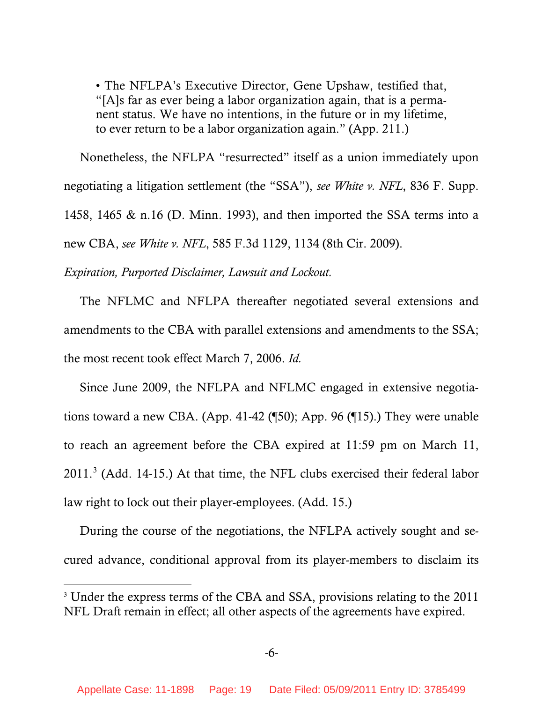<span id="page-18-0"></span>• The NFLPA's Executive Director, Gene Upshaw, testified that, "[A]s far as ever being a labor organization again, that is a permanent status. We have no intentions, in the future or in my lifetime, to ever return to be a labor organization again." (App. 211.)

Nonetheless, the NFLPA "resurrected" itself as a union immediately upon negotiating a litigation settlement (the "SSA"), *see White v. NFL*, 836 F. Supp. 1458, 1465 & n.16 (D. Minn. 1993), and then imported the SSA terms into a new CBA, *see White v. NFL*, 585 F.3d 1129, 1134 (8th Cir. 2009).

*Expiration, Purported Disclaimer, Lawsuit and Lockout.* 

-

The NFLMC and NFLPA thereafter negotiated several extensions and amendments to the CBA with parallel extensions and amendments to the SSA; the most recent took effect March 7, 2006. *Id.* 

Since June 2009, the NFLPA and NFLMC engaged in extensive negotiations toward a new CBA. (App. 41-42 (¶50); App. 96 (¶15).) They were unable to reach an agreement before the CBA expired at 11:59 pm on March 11,  $2011$ .<sup>[3](#page-18-1)</sup> (Add. 14-15.) At that time, the NFL clubs exercised their federal labor law right to lock out their player-employees. (Add. 15.)

During the course of the negotiations, the NFLPA actively sought and secured advance, conditional approval from its player-members to disclaim its

<span id="page-18-1"></span><sup>&</sup>lt;sup>3</sup> Under the express terms of the CBA and SSA, provisions relating to the 2011 NFL Draft remain in effect; all other aspects of the agreements have expired.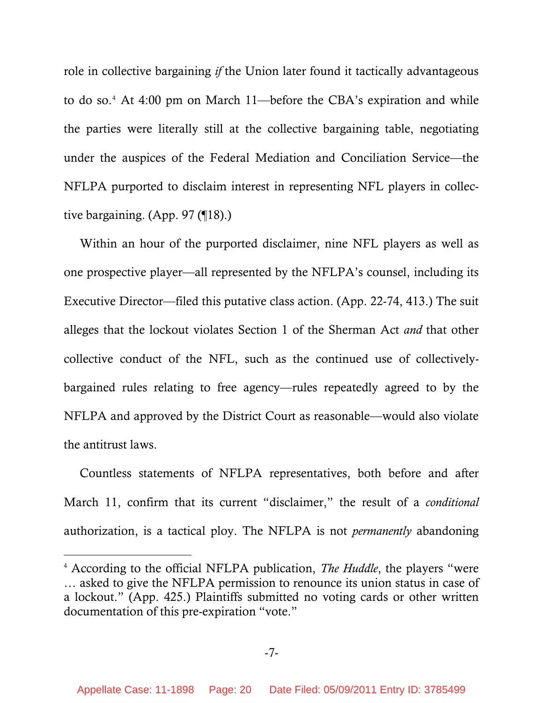role in collective bargaining *if* the Union later found it tactically advantageous to do so.[4](#page-19-0) At 4:00 pm on March 11—before the CBA's expiration and while the parties were literally still at the collective bargaining table, negotiating under the auspices of the Federal Mediation and Conciliation Service—the NFLPA purported to disclaim interest in representing NFL players in collective bargaining. (App. 97 (¶18).)

Within an hour of the purported disclaimer, nine NFL players as well as one prospective player—all represented by the NFLPA's counsel, including its Executive Director—filed this putative class action. (App. 22-74, 413.) The suit alleges that the lockout violates Section 1 of the Sherman Act *and* that other collective conduct of the NFL, such as the continued use of collectivelybargained rules relating to free agency—rules repeatedly agreed to by the NFLPA and approved by the District Court as reasonable—would also violate the antitrust laws.

Countless statements of NFLPA representatives, both before and after March 11, confirm that its current "disclaimer," the result of a *conditional*  authorization, is a tactical ploy. The NFLPA is not *permanently* abandoning

 $\overline{a}$ 

<span id="page-19-0"></span><sup>4</sup> According to the official NFLPA publication, *The Huddle*, the players "were … asked to give the NFLPA permission to renounce its union status in case of a lockout." (App. 425.) Plaintiffs submitted no voting cards or other written documentation of this pre-expiration "vote."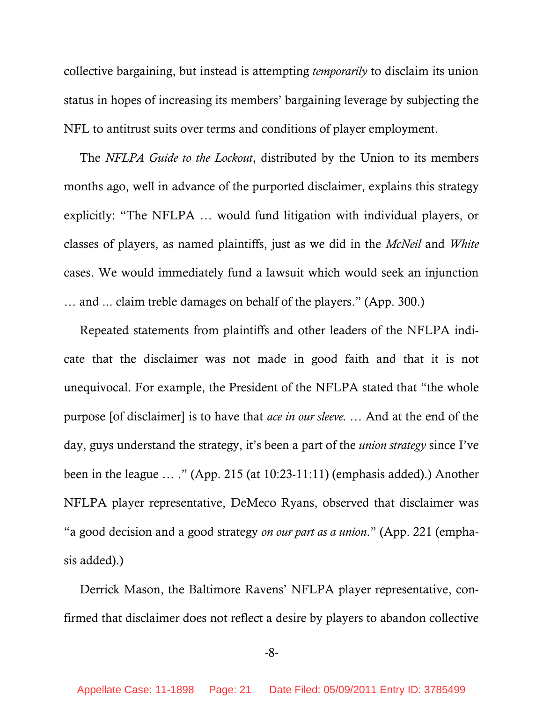collective bargaining, but instead is attempting *temporarily* to disclaim its union status in hopes of increasing its members' bargaining leverage by subjecting the NFL to antitrust suits over terms and conditions of player employment.

The *NFLPA Guide to the Lockout*, distributed by the Union to its members months ago, well in advance of the purported disclaimer, explains this strategy explicitly: "The NFLPA … would fund litigation with individual players, or classes of players, as named plaintiffs, just as we did in the *McNeil* and *White* cases. We would immediately fund a lawsuit which would seek an injunction … and ... claim treble damages on behalf of the players." (App. 300.)

Repeated statements from plaintiffs and other leaders of the NFLPA indicate that the disclaimer was not made in good faith and that it is not unequivocal. For example, the President of the NFLPA stated that "the whole purpose [of disclaimer] is to have that *ace in our sleeve. …* And at the end of the day, guys understand the strategy, it's been a part of the *union strategy* since I've been in the league … ." (App. 215 (at 10:23-11:11) (emphasis added).) Another NFLPA player representative, DeMeco Ryans, observed that disclaimer was "a good decision and a good strategy *on our part as a union*." (App. 221 (emphasis added).)

Derrick Mason, the Baltimore Ravens' NFLPA player representative, confirmed that disclaimer does not reflect a desire by players to abandon collective

-8-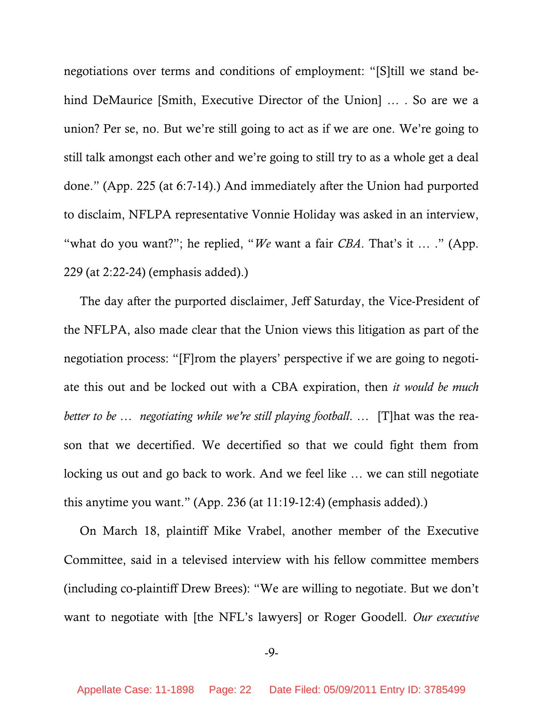negotiations over terms and conditions of employment: "[S]till we stand behind DeMaurice [Smith, Executive Director of the Union] ... . So are we a union? Per se, no. But we're still going to act as if we are one. We're going to still talk amongst each other and we're going to still try to as a whole get a deal done." (App. 225 (at 6:7-14).) And immediately after the Union had purported to disclaim, NFLPA representative Vonnie Holiday was asked in an interview, "what do you want?"; he replied, "*We* want a fair *CBA*. That's it … ." (App. 229 (at 2:22-24) (emphasis added).)

The day after the purported disclaimer, Jeff Saturday, the Vice-President of the NFLPA, also made clear that the Union views this litigation as part of the negotiation process: "[F]rom the players' perspective if we are going to negotiate this out and be locked out with a CBA expiration, then *it would be much better to be … negotiating while we're still playing football*. … [T]hat was the reason that we decertified. We decertified so that we could fight them from locking us out and go back to work. And we feel like … we can still negotiate this anytime you want." (App. 236 (at 11:19-12:4) (emphasis added).)

On March 18, plaintiff Mike Vrabel, another member of the Executive Committee, said in a televised interview with his fellow committee members (including co-plaintiff Drew Brees): "We are willing to negotiate. But we don't want to negotiate with [the NFL's lawyers] or Roger Goodell. *Our executive* 

-9-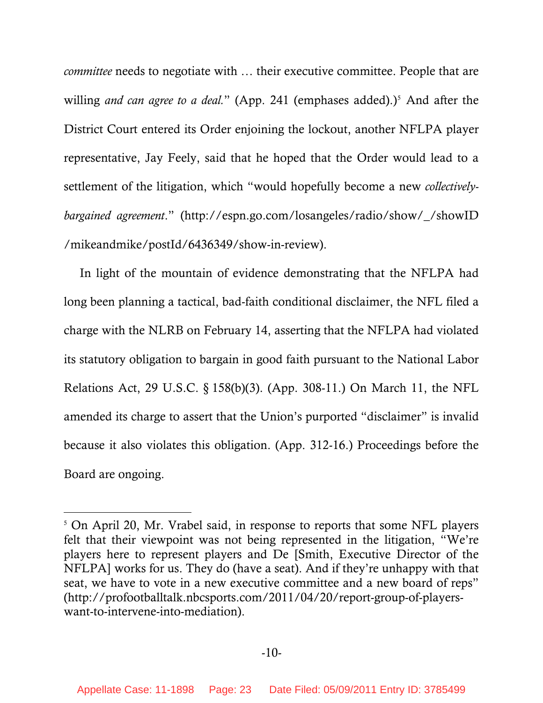*committee* needs to negotiate with … their executive committee. People that are willing *and can agree to a deal.*" (App. 241 (emphases added).)<sup>5</sup> And after the District Court entered its Order enjoining the lockout, another NFLPA player representative, Jay Feely, said that he hoped that the Order would lead to a settlement of the litigation, which "would hopefully become a new *collectivelybargained agreement*." (http://espn.go.com/losangeles/radio/show/\_/showID /mikeandmike/postId/6436349/show-in-review).

In light of the mountain of evidence demonstrating that the NFLPA had long been planning a tactical, bad-faith conditional disclaimer, the NFL filed a charge with the NLRB on February 14, asserting that the NFLPA had violated its statutory obligation to bargain in good faith pursuant to the National Labor Relations Act, 29 U.S.C. § 158(b)(3). (App. 308-11.) On March 11, the NFL amended its charge to assert that the Union's purported "disclaimer" is invalid because it also violates this obligation. (App. 312-16.) Proceedings before the Board are ongoing.

 $\overline{a}$ 

<span id="page-22-0"></span><sup>&</sup>lt;sup>5</sup> On April 20, Mr. Vrabel said, in response to reports that some NFL players felt that their viewpoint was not being represented in the litigation, "We're players here to represent players and De [Smith, Executive Director of the NFLPA] works for us. They do (have a seat). And if they're unhappy with that seat, we have to vote in a new executive committee and a new board of reps" (http://profootballtalk.nbcsports.com/2011/04/20/report-group-of-playerswant-to-intervene-into-mediation).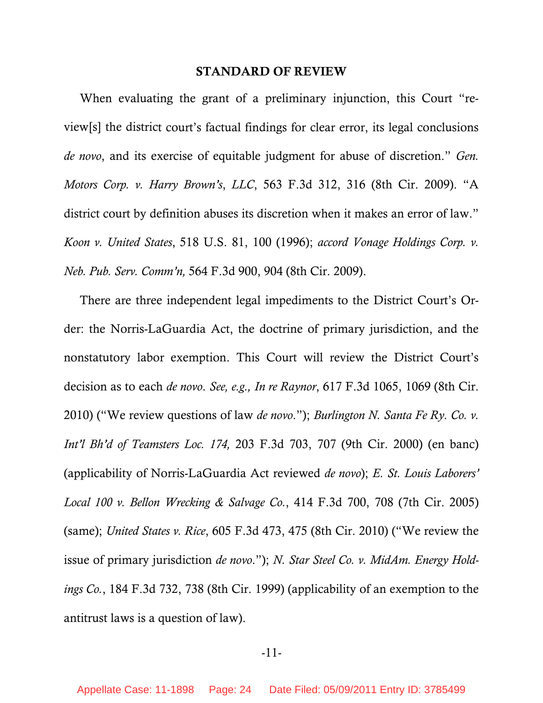#### **STANDARD OF REVIEW**

<span id="page-23-0"></span>When evaluating the grant of a preliminary injunction, this Court "review[s] the district court's factual findings for clear error, its legal conclusions *de novo*, and its exercise of equitable judgment for abuse of discretion." *Gen. Motors Corp. v. Harry Brown's*, *LLC*, 563 F.3d 312, 316 (8th Cir. 2009). "A district court by definition abuses its discretion when it makes an error of law." *Koon v. United States*, 518 U.S. 81, 100 (1996); *accord Vonage Holdings Corp. v. Neb. Pub. Serv. Comm'n,* 564 F.3d 900, 904 (8th Cir. 2009).

There are three independent legal impediments to the District Court's Order: the Norris-LaGuardia Act, the doctrine of primary jurisdiction, and the nonstatutory labor exemption. This Court will review the District Court's decision as to each *de novo*. *See, e.g., In re Raynor*, 617 F.3d 1065, 1069 (8th Cir. 2010) ("We review questions of law *de novo*."); *Burlington N. Santa Fe Ry. Co. v. Int'l Bh'd of Teamsters Loc. 174,* 203 F.3d 703, 707 (9th Cir. 2000) (en banc) (applicability of Norris-LaGuardia Act reviewed *de novo*); *E. St. Louis Laborers' Local 100 v. Bellon Wrecking & Salvage Co.*, 414 F.3d 700, 708 (7th Cir. 2005) (same); *United States v. Rice*, 605 F.3d 473, 475 (8th Cir. 2010) ("We review the issue of primary jurisdiction *de novo*."); *N. Star Steel Co. v. MidAm. Energy Holdings Co.*, 184 F.3d 732, 738 (8th Cir. 1999) (applicability of an exemption to the antitrust laws is a question of law).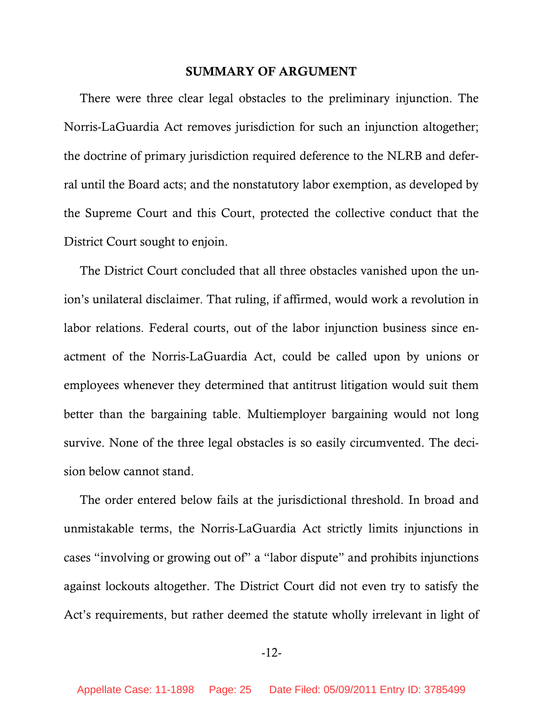### **SUMMARY OF ARGUMENT**

<span id="page-24-0"></span>There were three clear legal obstacles to the preliminary injunction. The Norris-LaGuardia Act removes jurisdiction for such an injunction altogether; the doctrine of primary jurisdiction required deference to the NLRB and deferral until the Board acts; and the nonstatutory labor exemption, as developed by the Supreme Court and this Court, protected the collective conduct that the District Court sought to enjoin.

The District Court concluded that all three obstacles vanished upon the union's unilateral disclaimer. That ruling, if affirmed, would work a revolution in labor relations. Federal courts, out of the labor injunction business since enactment of the Norris-LaGuardia Act, could be called upon by unions or employees whenever they determined that antitrust litigation would suit them better than the bargaining table. Multiemployer bargaining would not long survive. None of the three legal obstacles is so easily circumvented. The decision below cannot stand.

The order entered below fails at the jurisdictional threshold. In broad and unmistakable terms, the Norris-LaGuardia Act strictly limits injunctions in cases "involving or growing out of" a "labor dispute" and prohibits injunctions against lockouts altogether. The District Court did not even try to satisfy the Act's requirements, but rather deemed the statute wholly irrelevant in light of

-12-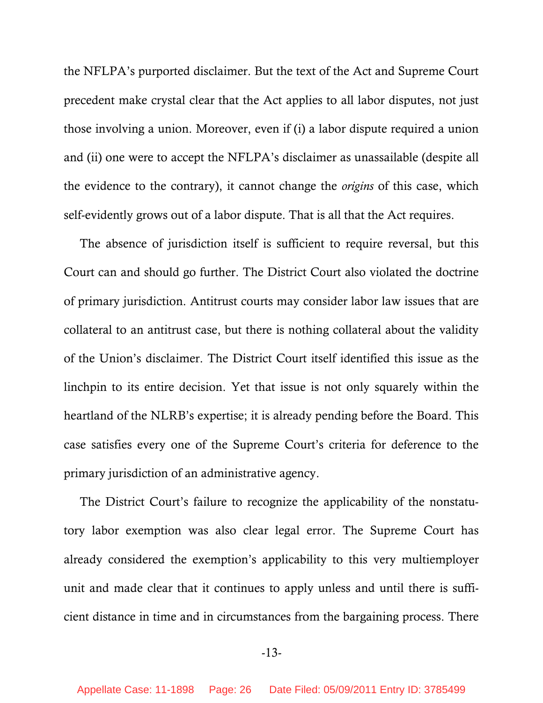the NFLPA's purported disclaimer. But the text of the Act and Supreme Court precedent make crystal clear that the Act applies to all labor disputes, not just those involving a union. Moreover, even if (i) a labor dispute required a union and (ii) one were to accept the NFLPA's disclaimer as unassailable (despite all the evidence to the contrary), it cannot change the *origins* of this case, which self-evidently grows out of a labor dispute. That is all that the Act requires.

The absence of jurisdiction itself is sufficient to require reversal, but this Court can and should go further. The District Court also violated the doctrine of primary jurisdiction. Antitrust courts may consider labor law issues that are collateral to an antitrust case, but there is nothing collateral about the validity of the Union's disclaimer. The District Court itself identified this issue as the linchpin to its entire decision. Yet that issue is not only squarely within the heartland of the NLRB's expertise; it is already pending before the Board. This case satisfies every one of the Supreme Court's criteria for deference to the primary jurisdiction of an administrative agency.

The District Court's failure to recognize the applicability of the nonstatutory labor exemption was also clear legal error. The Supreme Court has already considered the exemption's applicability to this very multiemployer unit and made clear that it continues to apply unless and until there is sufficient distance in time and in circumstances from the bargaining process. There

-13-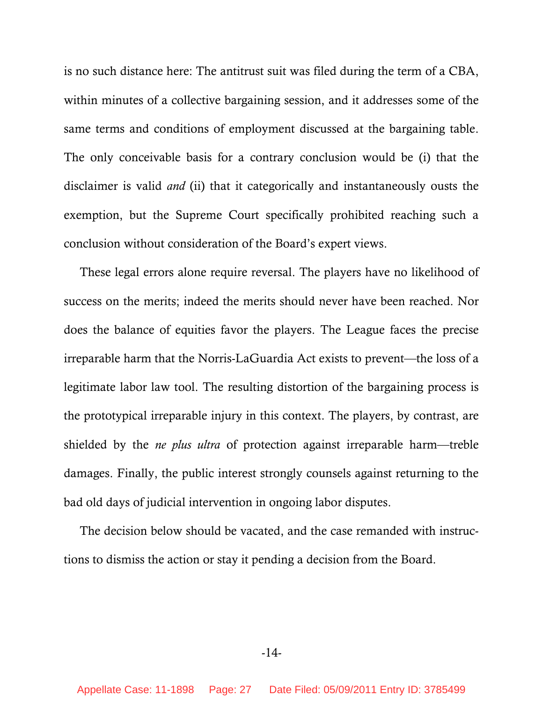is no such distance here: The antitrust suit was filed during the term of a CBA, within minutes of a collective bargaining session, and it addresses some of the same terms and conditions of employment discussed at the bargaining table. The only conceivable basis for a contrary conclusion would be (i) that the disclaimer is valid *and* (ii) that it categorically and instantaneously ousts the exemption, but the Supreme Court specifically prohibited reaching such a conclusion without consideration of the Board's expert views.

These legal errors alone require reversal. The players have no likelihood of success on the merits; indeed the merits should never have been reached. Nor does the balance of equities favor the players. The League faces the precise irreparable harm that the Norris-LaGuardia Act exists to prevent—the loss of a legitimate labor law tool. The resulting distortion of the bargaining process is the prototypical irreparable injury in this context. The players, by contrast, are shielded by the *ne plus ultra* of protection against irreparable harm—treble damages. Finally, the public interest strongly counsels against returning to the bad old days of judicial intervention in ongoing labor disputes.

The decision below should be vacated, and the case remanded with instructions to dismiss the action or stay it pending a decision from the Board.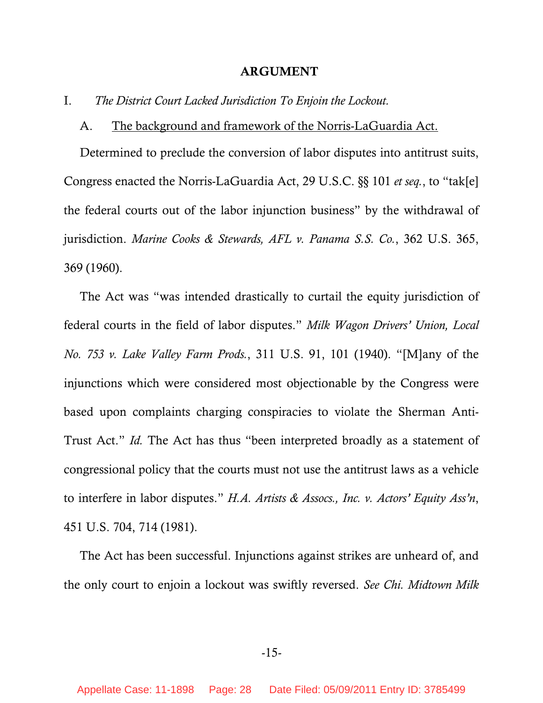#### **ARGUMENT**

<span id="page-27-0"></span>I. *The District Court Lacked Jurisdiction To Enjoin the Lockout.*

#### A. The background and framework of the Norris-LaGuardia Act.

Determined to preclude the conversion of labor disputes into antitrust suits, Congress enacted the Norris-LaGuardia Act, 29 U.S.C. §§ 101 *et seq.*, to "tak[e] the federal courts out of the labor injunction business" by the withdrawal of jurisdiction. *Marine Cooks & Stewards, AFL v. Panama S.S. Co.*, 362 U.S. 365, 369 (1960).

The Act was "was intended drastically to curtail the equity jurisdiction of federal courts in the field of labor disputes." *Milk Wagon Drivers' Union, Local No. 753 v. Lake Valley Farm Prods.*, 311 U.S. 91, 101 (1940). "[M]any of the injunctions which were considered most objectionable by the Congress were based upon complaints charging conspiracies to violate the Sherman Anti-Trust Act." *Id.* The Act has thus "been interpreted broadly as a statement of congressional policy that the courts must not use the antitrust laws as a vehicle to interfere in labor disputes." *H.A. Artists & Assocs., Inc. v. Actors' Equity Ass'n*, 451 U.S. 704, 714 (1981).

The Act has been successful. Injunctions against strikes are unheard of, and the only court to enjoin a lockout was swiftly reversed. *See Chi. Midtown Milk*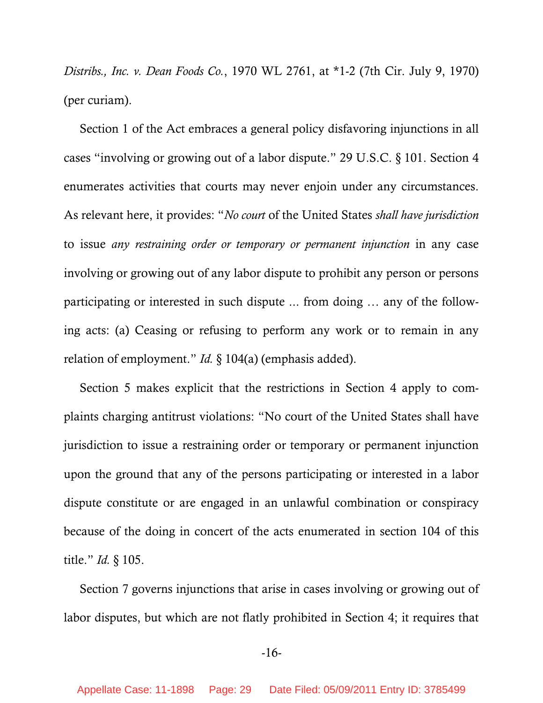*Distribs., Inc. v. Dean Foods Co.*, 1970 WL 2761, at \*1-2 (7th Cir. July 9, 1970) (per curiam).

Section 1 of the Act embraces a general policy disfavoring injunctions in all cases "involving or growing out of a labor dispute." 29 U.S.C. § 101. Section 4 enumerates activities that courts may never enjoin under any circumstances. As relevant here, it provides: "*No court* of the United States *shall have jurisdiction* to issue *any restraining order or temporary or permanent injunction* in any case involving or growing out of any labor dispute to prohibit any person or persons participating or interested in such dispute ... from doing … any of the following acts: (a) Ceasing or refusing to perform any work or to remain in any relation of employment." *Id.* § 104(a) (emphasis added).

Section 5 makes explicit that the restrictions in Section 4 apply to complaints charging antitrust violations: "No court of the United States shall have jurisdiction to issue a restraining order or temporary or permanent injunction upon the ground that any of the persons participating or interested in a labor dispute constitute or are engaged in an unlawful combination or conspiracy because of the doing in concert of the acts enumerated in section 104 of this title." *Id.* § 105.

Section 7 governs injunctions that arise in cases involving or growing out of labor disputes, but which are not flatly prohibited in Section 4; it requires that

### -16-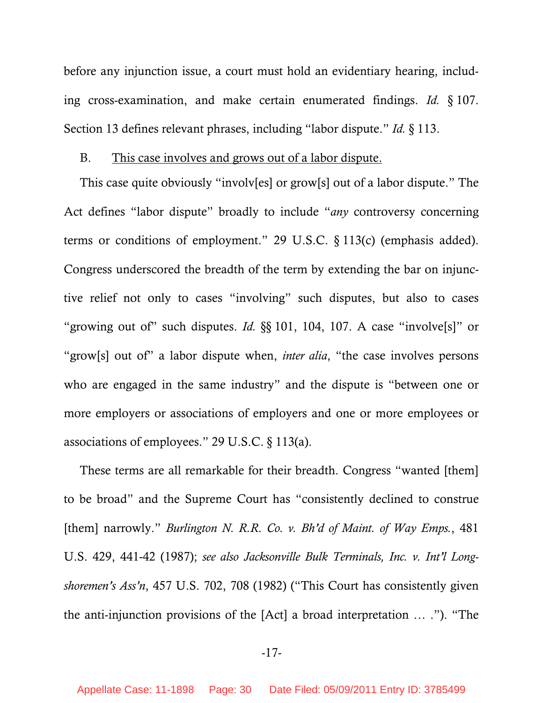<span id="page-29-0"></span>before any injunction issue, a court must hold an evidentiary hearing, including cross-examination, and make certain enumerated findings. *Id.* § 107. Section 13 defines relevant phrases, including "labor dispute." *Id.* § 113.

### B. This case involves and grows out of a labor dispute.

This case quite obviously "involv[es] or grow[s] out of a labor dispute." The Act defines "labor dispute" broadly to include "*any* controversy concerning terms or conditions of employment." 29 U.S.C. § 113(c) (emphasis added). Congress underscored the breadth of the term by extending the bar on injunctive relief not only to cases "involving" such disputes, but also to cases "growing out of" such disputes. *Id.* §§ 101, 104, 107. A case "involve[s]" or "grow[s] out of" a labor dispute when, *inter alia*, "the case involves persons who are engaged in the same industry" and the dispute is "between one or more employers or associations of employers and one or more employees or associations of employees." 29 U.S.C. § 113(a).

These terms are all remarkable for their breadth. Congress "wanted [them] to be broad" and the Supreme Court has "consistently declined to construe [them] narrowly." *Burlington N. R.R. Co. v. Bh'd of Maint. of Way Emps.*, 481 U.S. 429, 441-42 (1987); *see also Jacksonville Bulk Terminals, Inc. v. Int'l Longshoremen's Ass'n*, 457 U.S. 702, 708 (1982) ("This Court has consistently given the anti-injunction provisions of the [Act] a broad interpretation … ."). "The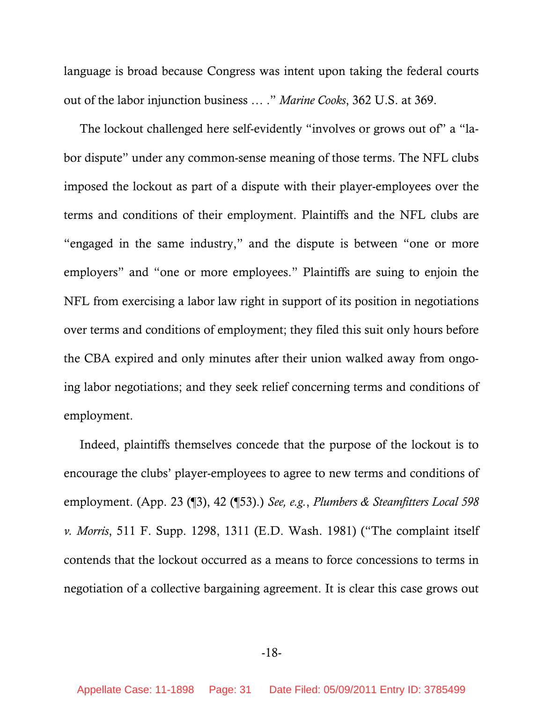language is broad because Congress was intent upon taking the federal courts out of the labor injunction business … ." *Marine Cooks*, 362 U.S. at 369.

The lockout challenged here self-evidently "involves or grows out of" a "labor dispute" under any common-sense meaning of those terms. The NFL clubs imposed the lockout as part of a dispute with their player-employees over the terms and conditions of their employment. Plaintiffs and the NFL clubs are "engaged in the same industry," and the dispute is between "one or more employers" and "one or more employees." Plaintiffs are suing to enjoin the NFL from exercising a labor law right in support of its position in negotiations over terms and conditions of employment; they filed this suit only hours before the CBA expired and only minutes after their union walked away from ongoing labor negotiations; and they seek relief concerning terms and conditions of employment.

Indeed, plaintiffs themselves concede that the purpose of the lockout is to encourage the clubs' player-employees to agree to new terms and conditions of employment. (App. 23 (¶3), 42 (¶53).) *See, e.g.*, *Plumbers & Steamfitters Local 598 v. Morris*, 511 F. Supp. 1298, 1311 (E.D. Wash. 1981) ("The complaint itself contends that the lockout occurred as a means to force concessions to terms in negotiation of a collective bargaining agreement. It is clear this case grows out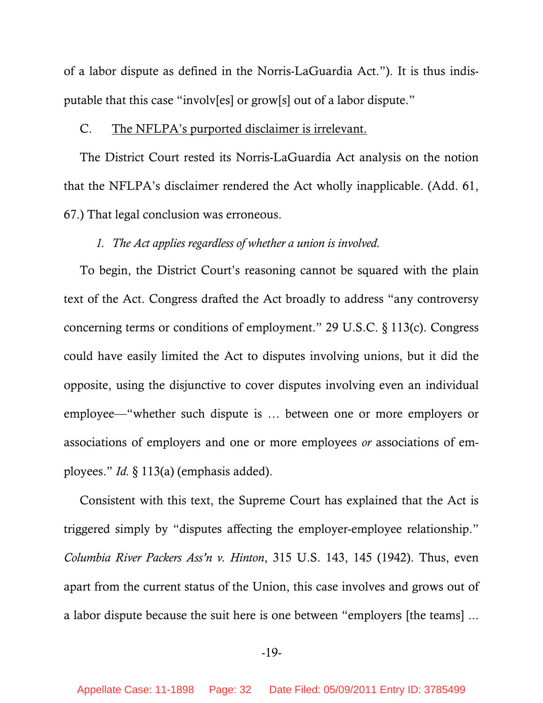<span id="page-31-0"></span>of a labor dispute as defined in the Norris-LaGuardia Act."). It is thus indisputable that this case "involv[es] or grow[s] out of a labor dispute."

### C. The NFLPA's purported disclaimer is irrelevant.

The District Court rested its Norris-LaGuardia Act analysis on the notion that the NFLPA's disclaimer rendered the Act wholly inapplicable. (Add. 61, 67.) That legal conclusion was erroneous.

### *1. The Act applies regardless of whether a union is involved.*

To begin, the District Court's reasoning cannot be squared with the plain text of the Act. Congress drafted the Act broadly to address "any controversy concerning terms or conditions of employment." 29 U.S.C. § 113(c). Congress could have easily limited the Act to disputes involving unions, but it did the opposite, using the disjunctive to cover disputes involving even an individual employee—"whether such dispute is … between one or more employers or associations of employers and one or more employees *or* associations of employees." *Id.* § 113(a) (emphasis added).

Consistent with this text, the Supreme Court has explained that the Act is triggered simply by "disputes affecting the employer-employee relationship." *Columbia River Packers Ass'n v. Hinton*, 315 U.S. 143, 145 (1942). Thus, even apart from the current status of the Union, this case involves and grows out of a labor dispute because the suit here is one between "employers [the teams] ...

### -19-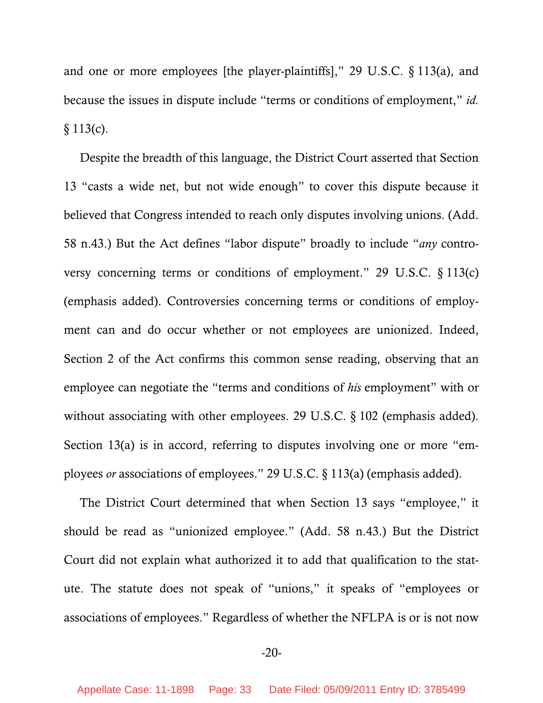and one or more employees [the player-plaintiffs]," 29 U.S.C. § 113(a), and because the issues in dispute include "terms or conditions of employment," *id.*  $§ 113(c).$ 

Despite the breadth of this language, the District Court asserted that Section 13 "casts a wide net, but not wide enough" to cover this dispute because it believed that Congress intended to reach only disputes involving unions. (Add. 58 n.43.) But the Act defines "labor dispute" broadly to include "*any* controversy concerning terms or conditions of employment." 29 U.S.C. § 113(c) (emphasis added). Controversies concerning terms or conditions of employment can and do occur whether or not employees are unionized. Indeed, Section 2 of the Act confirms this common sense reading, observing that an employee can negotiate the "terms and conditions of *his* employment" with or without associating with other employees. 29 U.S.C. § 102 (emphasis added). Section 13(a) is in accord, referring to disputes involving one or more "employees *or* associations of employees." 29 U.S.C. § 113(a) (emphasis added).

The District Court determined that when Section 13 says "employee," it should be read as "unionized employee." (Add. 58 n.43.) But the District Court did not explain what authorized it to add that qualification to the statute. The statute does not speak of "unions," it speaks of "employees or associations of employees." Regardless of whether the NFLPA is or is not now

-20-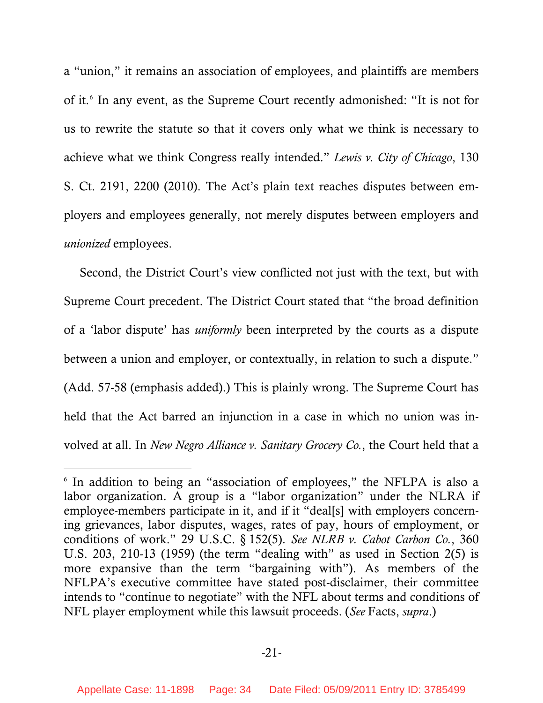a "union," it remains an association of employees, and plaintiffs are members of it.[6](#page-33-0) In any event, as the Supreme Court recently admonished: "It is not for us to rewrite the statute so that it covers only what we think is necessary to achieve what we think Congress really intended." *Lewis v. City of Chicago*, 130 S. Ct. 2191, 2200 (2010). The Act's plain text reaches disputes between employers and employees generally, not merely disputes between employers and *unionized* employees.

Second, the District Court's view conflicted not just with the text, but with Supreme Court precedent. The District Court stated that "the broad definition of a 'labor dispute' has *uniformly* been interpreted by the courts as a dispute between a union and employer, or contextually, in relation to such a dispute." (Add. 57-58 (emphasis added).) This is plainly wrong. The Supreme Court has held that the Act barred an injunction in a case in which no union was involved at all. In *New Negro Alliance v. Sanitary Grocery Co.*, the Court held that a

-

<span id="page-33-0"></span><sup>6</sup> In addition to being an "association of employees," the NFLPA is also a labor organization. A group is a "labor organization" under the NLRA if employee-members participate in it, and if it "deal[s] with employers concerning grievances, labor disputes, wages, rates of pay, hours of employment, or conditions of work." 29 U.S.C. § 152(5). *See NLRB v. Cabot Carbon Co.*, 360 U.S. 203, 210-13 (1959) (the term "dealing with" as used in Section 2(5) is more expansive than the term "bargaining with"). As members of the NFLPA's executive committee have stated post-disclaimer, their committee intends to "continue to negotiate" with the NFL about terms and conditions of NFL player employment while this lawsuit proceeds. (*See* Facts, *supra*.)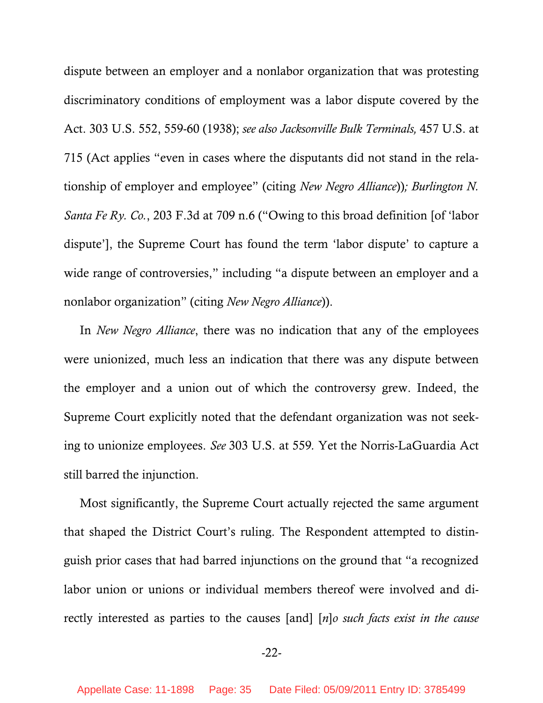dispute between an employer and a nonlabor organization that was protesting discriminatory conditions of employment was a labor dispute covered by the Act. 303 U.S. 552, 559-60 (1938); *see also Jacksonville Bulk Terminals,* 457 U.S. at 715 (Act applies "even in cases where the disputants did not stand in the relationship of employer and employee" (citing *New Negro Alliance*))*; Burlington N. Santa Fe Ry. Co.*, 203 F.3d at 709 n.6 ("Owing to this broad definition [of 'labor dispute'], the Supreme Court has found the term 'labor dispute' to capture a wide range of controversies," including "a dispute between an employer and a nonlabor organization" (citing *New Negro Alliance*)).

In *New Negro Alliance*, there was no indication that any of the employees were unionized, much less an indication that there was any dispute between the employer and a union out of which the controversy grew. Indeed, the Supreme Court explicitly noted that the defendant organization was not seeking to unionize employees. *See* 303 U.S. at 559*.* Yet the Norris-LaGuardia Act still barred the injunction.

Most significantly, the Supreme Court actually rejected the same argument that shaped the District Court's ruling. The Respondent attempted to distinguish prior cases that had barred injunctions on the ground that "a recognized labor union or unions or individual members thereof were involved and directly interested as parties to the causes [and] [*n*]*o such facts exist in the cause* 

-22-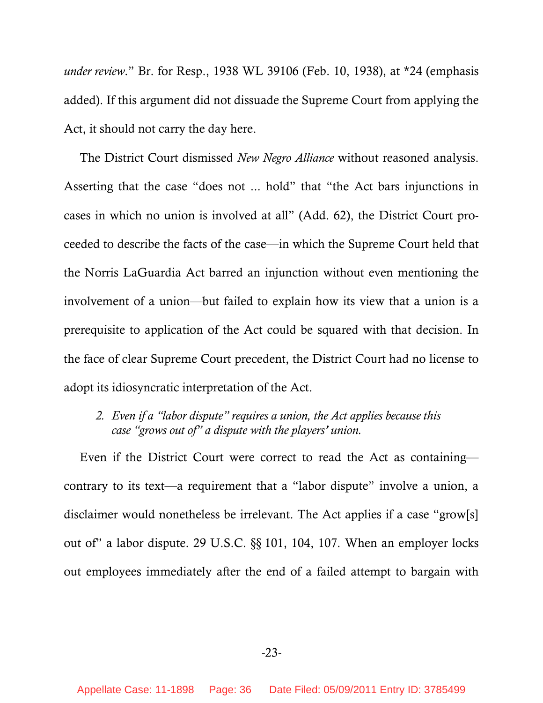<span id="page-35-0"></span>*under review*." Br. for Resp., 1938 WL 39106 (Feb. 10, 1938), at \*24 (emphasis added). If this argument did not dissuade the Supreme Court from applying the Act, it should not carry the day here.

The District Court dismissed *New Negro Alliance* without reasoned analysis. Asserting that the case "does not ... hold" that "the Act bars injunctions in cases in which no union is involved at all" (Add. 62), the District Court proceeded to describe the facts of the case—in which the Supreme Court held that the Norris LaGuardia Act barred an injunction without even mentioning the involvement of a union—but failed to explain how its view that a union is a prerequisite to application of the Act could be squared with that decision. In the face of clear Supreme Court precedent, the District Court had no license to adopt its idiosyncratic interpretation of the Act.

*2. Even if a "labor dispute" requires a union, the Act applies because this case "grows out of" a dispute with the players' union.* 

Even if the District Court were correct to read the Act as containing contrary to its text—a requirement that a "labor dispute" involve a union, a disclaimer would nonetheless be irrelevant. The Act applies if a case "grow[s] out of" a labor dispute. 29 U.S.C. §§ 101, 104, 107. When an employer locks out employees immediately after the end of a failed attempt to bargain with

-23-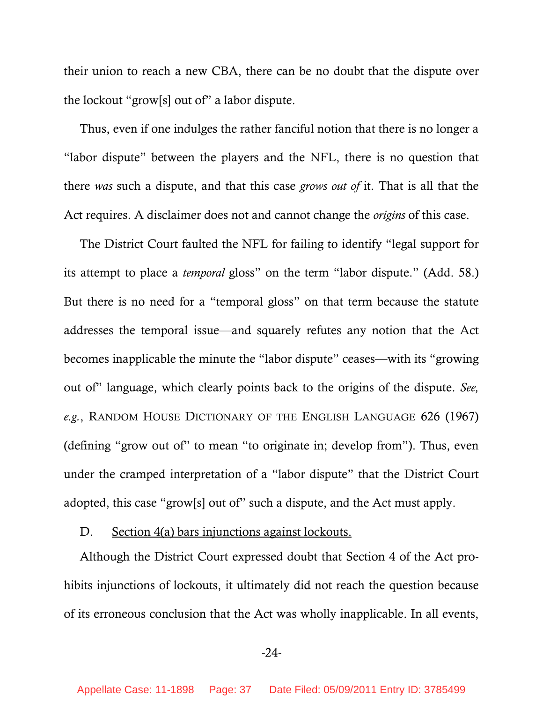their union to reach a new CBA, there can be no doubt that the dispute over the lockout "grow[s] out of" a labor dispute.

Thus, even if one indulges the rather fanciful notion that there is no longer a "labor dispute" between the players and the NFL, there is no question that there *was* such a dispute, and that this case *grows out of* it. That is all that the Act requires. A disclaimer does not and cannot change the *origins* of this case.

The District Court faulted the NFL for failing to identify "legal support for its attempt to place a *temporal* gloss" on the term "labor dispute." (Add. 58.) But there is no need for a "temporal gloss" on that term because the statute addresses the temporal issue—and squarely refutes any notion that the Act becomes inapplicable the minute the "labor dispute" ceases—with its "growing out of" language, which clearly points back to the origins of the dispute. *See, e.g.*, RANDOM HOUSE DICTIONARY OF THE ENGLISH LANGUAGE 626 (1967) (defining "grow out of" to mean "to originate in; develop from"). Thus, even under the cramped interpretation of a "labor dispute" that the District Court adopted, this case "grow[s] out of" such a dispute, and the Act must apply.

D. Section 4(a) bars injunctions against lockouts.

Although the District Court expressed doubt that Section 4 of the Act prohibits injunctions of lockouts, it ultimately did not reach the question because of its erroneous conclusion that the Act was wholly inapplicable. In all events,

-24-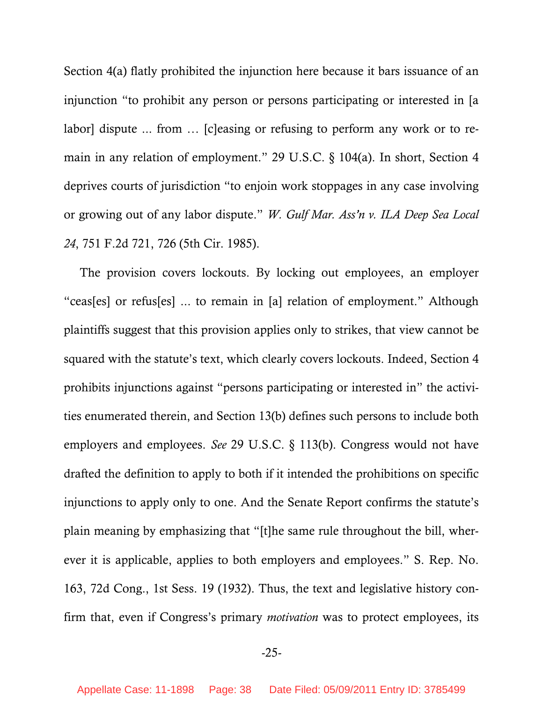Section 4(a) flatly prohibited the injunction here because it bars issuance of an injunction "to prohibit any person or persons participating or interested in [a labor] dispute ... from … [c]easing or refusing to perform any work or to remain in any relation of employment." 29 U.S.C. § 104(a). In short, Section 4 deprives courts of jurisdiction "to enjoin work stoppages in any case involving or growing out of any labor dispute." *W. Gulf Mar. Ass'n v. ILA Deep Sea Local 24*, 751 F.2d 721, 726 (5th Cir. 1985).

The provision covers lockouts. By locking out employees, an employer "ceas[es] or refus[es] ... to remain in [a] relation of employment." Although plaintiffs suggest that this provision applies only to strikes, that view cannot be squared with the statute's text, which clearly covers lockouts. Indeed, Section 4 prohibits injunctions against "persons participating or interested in" the activities enumerated therein, and Section 13(b) defines such persons to include both employers and employees. *See* 29 U.S.C. § 113(b). Congress would not have drafted the definition to apply to both if it intended the prohibitions on specific injunctions to apply only to one. And the Senate Report confirms the statute's plain meaning by emphasizing that "[t]he same rule throughout the bill, wherever it is applicable, applies to both employers and employees." S. Rep. No. 163, 72d Cong., 1st Sess. 19 (1932). Thus, the text and legislative history confirm that, even if Congress's primary *motivation* was to protect employees, its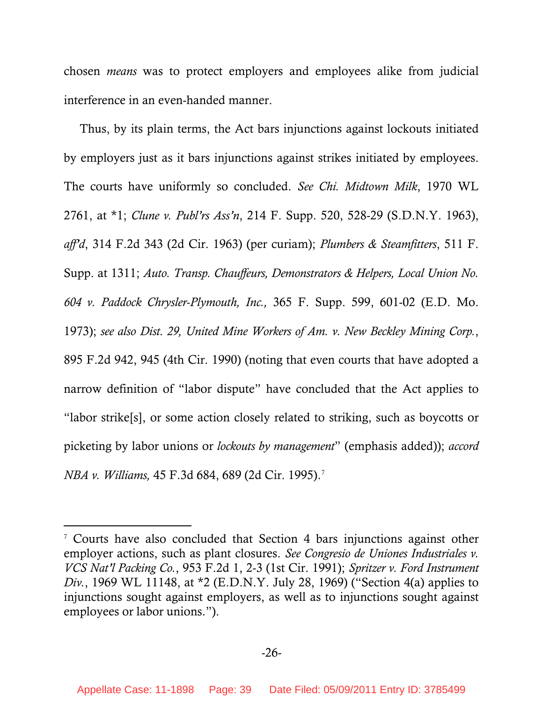chosen *means* was to protect employers and employees alike from judicial interference in an even-handed manner.

Thus, by its plain terms, the Act bars injunctions against lockouts initiated by employers just as it bars injunctions against strikes initiated by employees. The courts have uniformly so concluded. *See Chi. Midtown Milk*, 1970 WL 2761, at \*1; *Clune v. Publ'rs Ass'n*, 214 F. Supp. 520, 528-29 (S.D.N.Y. 1963), *aff'd*, 314 F.2d 343 (2d Cir. 1963) (per curiam); *Plumbers & Steamfitters*, 511 F. Supp. at 1311; *Auto. Transp. Chauffeurs, Demonstrators & Helpers, Local Union No. 604 v. Paddock Chrysler-Plymouth, Inc.,* 365 F. Supp. 599, 601-02 (E.D. Mo. 1973); *see also Dist. 29, United Mine Workers of Am. v. New Beckley Mining Corp.*, 895 F.2d 942, 945 (4th Cir. 1990) (noting that even courts that have adopted a narrow definition of "labor dispute" have concluded that the Act applies to "labor strike[s], or some action closely related to striking, such as boycotts or picketing by labor unions or *lockouts by management*" (emphasis added)); *accord NBA v. Williams,* 45 F.3d 684, 689 (2d Cir. 1995).[7](#page-38-0)

l

<span id="page-38-0"></span><sup>7</sup> Courts have also concluded that Section 4 bars injunctions against other employer actions, such as plant closures. *See Congresio de Uniones Industriales v. VCS Nat'l Packing Co.*, 953 F.2d 1, 2-3 (1st Cir. 1991); *Spritzer v. Ford Instrument Div.*, 1969 WL 11148, at \*2 (E.D.N.Y. July 28, 1969) ("Section 4(a) applies to injunctions sought against employers, as well as to injunctions sought against employees or labor unions.").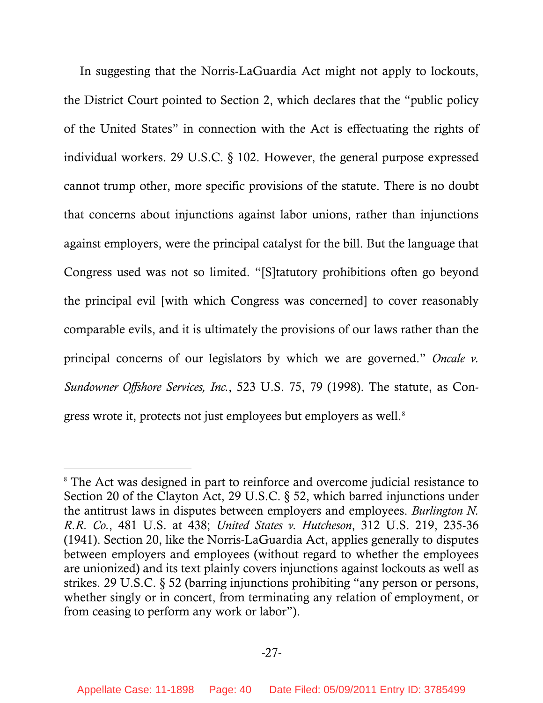In suggesting that the Norris-LaGuardia Act might not apply to lockouts, the District Court pointed to Section 2, which declares that the "public policy of the United States" in connection with the Act is effectuating the rights of individual workers. 29 U.S.C. § 102. However, the general purpose expressed cannot trump other, more specific provisions of the statute. There is no doubt that concerns about injunctions against labor unions, rather than injunctions against employers, were the principal catalyst for the bill. But the language that Congress used was not so limited. "[S]tatutory prohibitions often go beyond the principal evil [with which Congress was concerned] to cover reasonably comparable evils, and it is ultimately the provisions of our laws rather than the principal concerns of our legislators by which we are governed." *Oncale v. Sundowner Offshore Services, Inc.*, 523 U.S. 75, 79 (1998). The statute, as Con-gress wrote it, protects not just employees but employers as well.<sup>[8](#page-39-0)</sup>

 $\overline{a}$ 

<span id="page-39-0"></span><sup>&</sup>lt;sup>8</sup> The Act was designed in part to reinforce and overcome judicial resistance to Section 20 of the Clayton Act, 29 U.S.C. § 52, which barred injunctions under the antitrust laws in disputes between employers and employees. *Burlington N. R.R. Co.*, 481 U.S. at 438; *United States v. Hutcheson*, 312 U.S. 219, 235-36 (1941). Section 20, like the Norris-LaGuardia Act, applies generally to disputes between employers and employees (without regard to whether the employees are unionized) and its text plainly covers injunctions against lockouts as well as strikes. 29 U.S.C. § 52 (barring injunctions prohibiting "any person or persons, whether singly or in concert, from terminating any relation of employment, or from ceasing to perform any work or labor").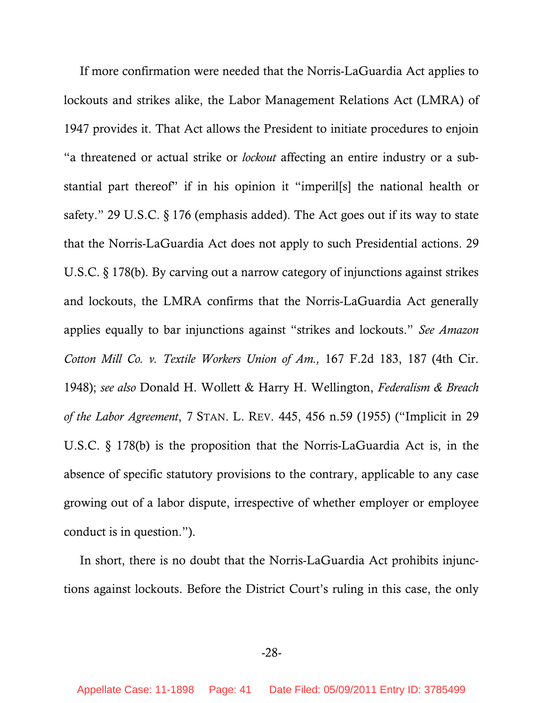If more confirmation were needed that the Norris-LaGuardia Act applies to lockouts and strikes alike, the Labor Management Relations Act (LMRA) of 1947 provides it. That Act allows the President to initiate procedures to enjoin "a threatened or actual strike or *lockout* affecting an entire industry or a substantial part thereof" if in his opinion it "imperil[s] the national health or safety." 29 U.S.C. § 176 (emphasis added). The Act goes out if its way to state that the Norris-LaGuardia Act does not apply to such Presidential actions. 29 U.S.C. § 178(b). By carving out a narrow category of injunctions against strikes and lockouts, the LMRA confirms that the Norris-LaGuardia Act generally applies equally to bar injunctions against "strikes and lockouts." *See Amazon Cotton Mill Co. v. Textile Workers Union of Am.,* 167 F.2d 183, 187 (4th Cir. 1948); *see also* Donald H. Wollett & Harry H. Wellington, *Federalism & Breach of the Labor Agreement*, 7 STAN. L. REV. 445, 456 n.59 (1955) ("Implicit in 29 U.S.C. § 178(b) is the proposition that the Norris-LaGuardia Act is, in the absence of specific statutory provisions to the contrary, applicable to any case growing out of a labor dispute, irrespective of whether employer or employee conduct is in question.").

In short, there is no doubt that the Norris-LaGuardia Act prohibits injunctions against lockouts. Before the District Court's ruling in this case, the only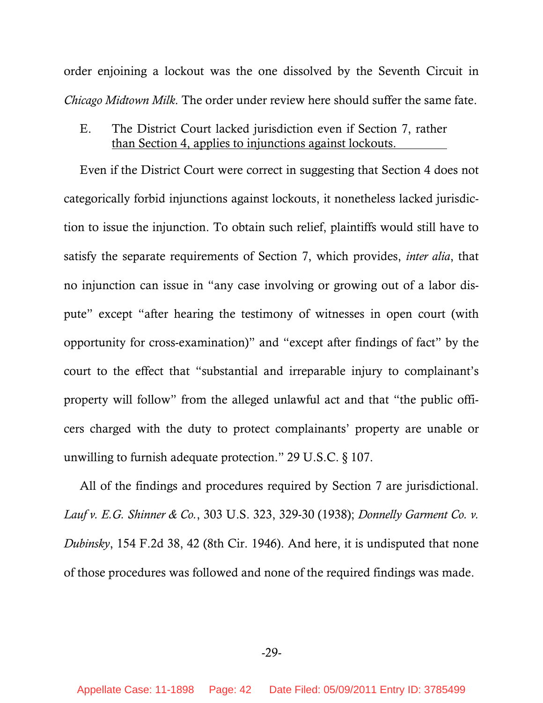order enjoining a lockout was the one dissolved by the Seventh Circuit in *Chicago Midtown Milk*. The order under review here should suffer the same fate.

E. The District Court lacked jurisdiction even if Section 7, rather than Section 4, applies to injunctions against lockouts.

Even if the District Court were correct in suggesting that Section 4 does not categorically forbid injunctions against lockouts, it nonetheless lacked jurisdiction to issue the injunction. To obtain such relief, plaintiffs would still have to satisfy the separate requirements of Section 7, which provides, *inter alia*, that no injunction can issue in "any case involving or growing out of a labor dispute" except "after hearing the testimony of witnesses in open court (with opportunity for cross-examination)" and "except after findings of fact" by the court to the effect that "substantial and irreparable injury to complainant's property will follow" from the alleged unlawful act and that "the public officers charged with the duty to protect complainants' property are unable or unwilling to furnish adequate protection." 29 U.S.C. § 107.

All of the findings and procedures required by Section 7 are jurisdictional. *Lauf v. E.G. Shinner & Co.*, 303 U.S. 323, 329-30 (1938); *Donnelly Garment Co. v. Dubinsky*, 154 F.2d 38, 42 (8th Cir. 1946). And here, it is undisputed that none of those procedures was followed and none of the required findings was made.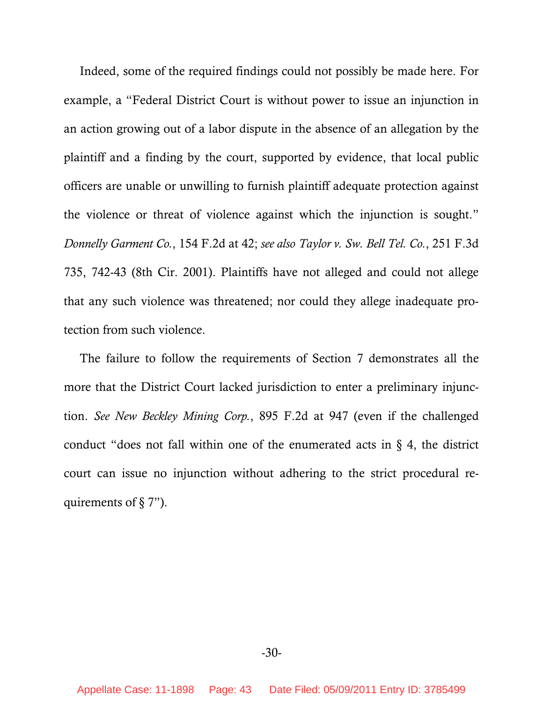Indeed, some of the required findings could not possibly be made here. For example, a "Federal District Court is without power to issue an injunction in an action growing out of a labor dispute in the absence of an allegation by the plaintiff and a finding by the court, supported by evidence, that local public officers are unable or unwilling to furnish plaintiff adequate protection against the violence or threat of violence against which the injunction is sought." *Donnelly Garment Co.*, 154 F.2d at 42; *see also Taylor v. Sw. Bell Tel. Co.*, 251 F.3d 735, 742-43 (8th Cir. 2001). Plaintiffs have not alleged and could not allege that any such violence was threatened; nor could they allege inadequate protection from such violence.

The failure to follow the requirements of Section 7 demonstrates all the more that the District Court lacked jurisdiction to enter a preliminary injunction. *See New Beckley Mining Corp.*, 895 F.2d at 947 (even if the challenged conduct "does not fall within one of the enumerated acts in  $\S$  4, the district court can issue no injunction without adhering to the strict procedural requirements of § 7").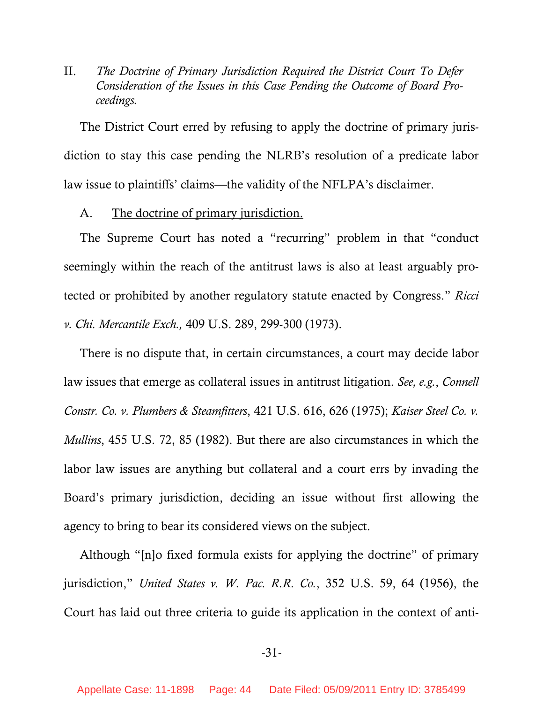II. *The Doctrine of Primary Jurisdiction Required the District Court To Defer Consideration of the Issues in this Case Pending the Outcome of Board Proceedings.* 

The District Court erred by refusing to apply the doctrine of primary jurisdiction to stay this case pending the NLRB's resolution of a predicate labor law issue to plaintiffs' claims—the validity of the NFLPA's disclaimer.

A. The doctrine of primary jurisdiction.

The Supreme Court has noted a "recurring" problem in that "conduct seemingly within the reach of the antitrust laws is also at least arguably protected or prohibited by another regulatory statute enacted by Congress." *Ricci v. Chi. Mercantile Exch.,* 409 U.S. 289, 299-300 (1973).

There is no dispute that, in certain circumstances, a court may decide labor law issues that emerge as collateral issues in antitrust litigation. *See, e.g.*, *Connell Constr. Co. v. Plumbers & Steamfitters*, 421 U.S. 616, 626 (1975); *Kaiser Steel Co. v. Mullins*, 455 U.S. 72, 85 (1982). But there are also circumstances in which the labor law issues are anything but collateral and a court errs by invading the Board's primary jurisdiction, deciding an issue without first allowing the agency to bring to bear its considered views on the subject.

Although "[n]o fixed formula exists for applying the doctrine" of primary jurisdiction," *United States v. W. Pac. R.R. Co.*, 352 U.S. 59, 64 (1956), the Court has laid out three criteria to guide its application in the context of anti-

-31-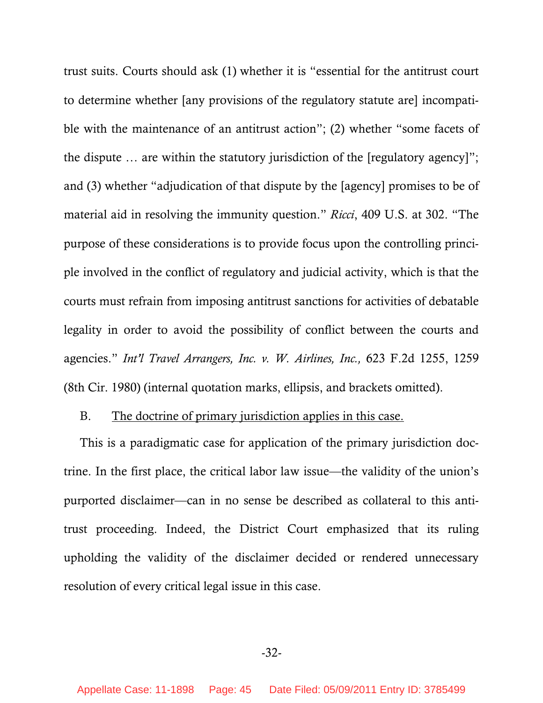trust suits. Courts should ask (1) whether it is "essential for the antitrust court to determine whether [any provisions of the regulatory statute are] incompatible with the maintenance of an antitrust action"; (2) whether "some facets of the dispute … are within the statutory jurisdiction of the [regulatory agency]"; and (3) whether "adjudication of that dispute by the [agency] promises to be of material aid in resolving the immunity question." *Ricci*, 409 U.S. at 302. "The purpose of these considerations is to provide focus upon the controlling principle involved in the conflict of regulatory and judicial activity, which is that the courts must refrain from imposing antitrust sanctions for activities of debatable legality in order to avoid the possibility of conflict between the courts and agencies." *Int'l Travel Arrangers, Inc. v. W. Airlines, Inc.,* 623 F.2d 1255, 1259 (8th Cir. 1980) (internal quotation marks, ellipsis, and brackets omitted).

### B. The doctrine of primary jurisdiction applies in this case.

This is a paradigmatic case for application of the primary jurisdiction doctrine. In the first place, the critical labor law issue—the validity of the union's purported disclaimer—can in no sense be described as collateral to this antitrust proceeding. Indeed, the District Court emphasized that its ruling upholding the validity of the disclaimer decided or rendered unnecessary resolution of every critical legal issue in this case.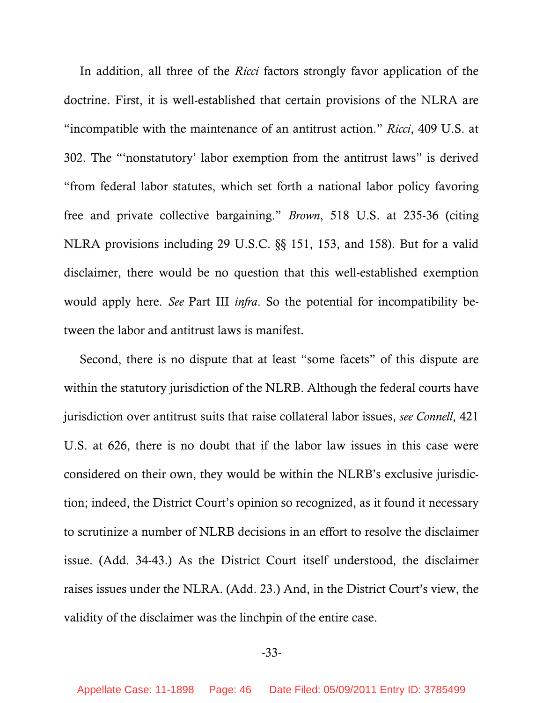In addition, all three of the *Ricci* factors strongly favor application of the doctrine. First, it is well-established that certain provisions of the NLRA are "incompatible with the maintenance of an antitrust action." *Ricci*, 409 U.S. at 302. The "'nonstatutory' labor exemption from the antitrust laws" is derived "from federal labor statutes, which set forth a national labor policy favoring free and private collective bargaining." *Brown*, 518 U.S. at 235-36 (citing NLRA provisions including 29 U.S.C. §§ 151, 153, and 158). But for a valid disclaimer, there would be no question that this well-established exemption would apply here. *See* Part III *infra*. So the potential for incompatibility between the labor and antitrust laws is manifest.

Second, there is no dispute that at least "some facets" of this dispute are within the statutory jurisdiction of the NLRB. Although the federal courts have jurisdiction over antitrust suits that raise collateral labor issues, *see Connell*, 421 U.S. at 626, there is no doubt that if the labor law issues in this case were considered on their own, they would be within the NLRB's exclusive jurisdiction; indeed, the District Court's opinion so recognized, as it found it necessary to scrutinize a number of NLRB decisions in an effort to resolve the disclaimer issue. (Add. 34-43.) As the District Court itself understood, the disclaimer raises issues under the NLRA. (Add. 23.) And, in the District Court's view, the validity of the disclaimer was the linchpin of the entire case.

-33-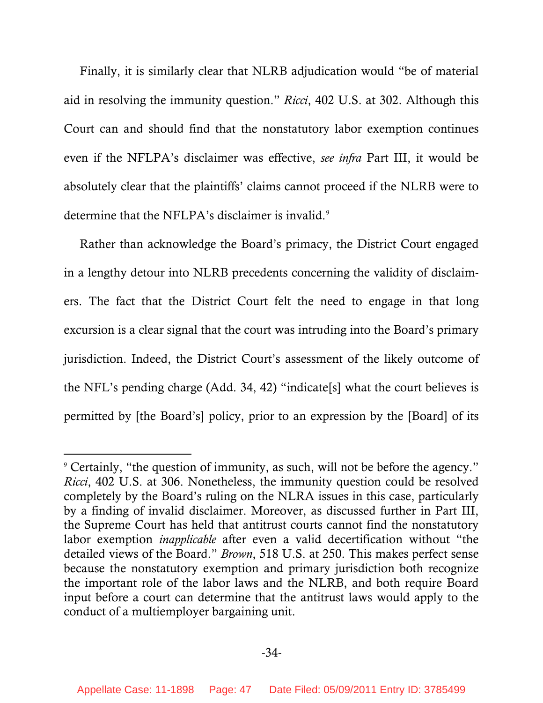Finally, it is similarly clear that NLRB adjudication would "be of material aid in resolving the immunity question." *Ricci*, 402 U.S. at 302. Although this Court can and should find that the nonstatutory labor exemption continues even if the NFLPA's disclaimer was effective, *see infra* Part III, it would be absolutely clear that the plaintiffs' claims cannot proceed if the NLRB were to determine that the NFLPA's disclaimer is invalid.<sup>[9](#page-46-0)</sup>

Rather than acknowledge the Board's primacy, the District Court engaged in a lengthy detour into NLRB precedents concerning the validity of disclaimers. The fact that the District Court felt the need to engage in that long excursion is a clear signal that the court was intruding into the Board's primary jurisdiction. Indeed, the District Court's assessment of the likely outcome of the NFL's pending charge (Add. 34, 42) "indicate[s] what the court believes is permitted by [the Board's] policy, prior to an expression by the [Board] of its

-

<span id="page-46-0"></span><sup>9</sup> Certainly, "the question of immunity, as such, will not be before the agency." *Ricci*, 402 U.S. at 306. Nonetheless, the immunity question could be resolved completely by the Board's ruling on the NLRA issues in this case, particularly by a finding of invalid disclaimer. Moreover, as discussed further in Part III, the Supreme Court has held that antitrust courts cannot find the nonstatutory labor exemption *inapplicable* after even a valid decertification without "the detailed views of the Board." *Brown*, 518 U.S. at 250. This makes perfect sense because the nonstatutory exemption and primary jurisdiction both recognize the important role of the labor laws and the NLRB, and both require Board input before a court can determine that the antitrust laws would apply to the conduct of a multiemployer bargaining unit.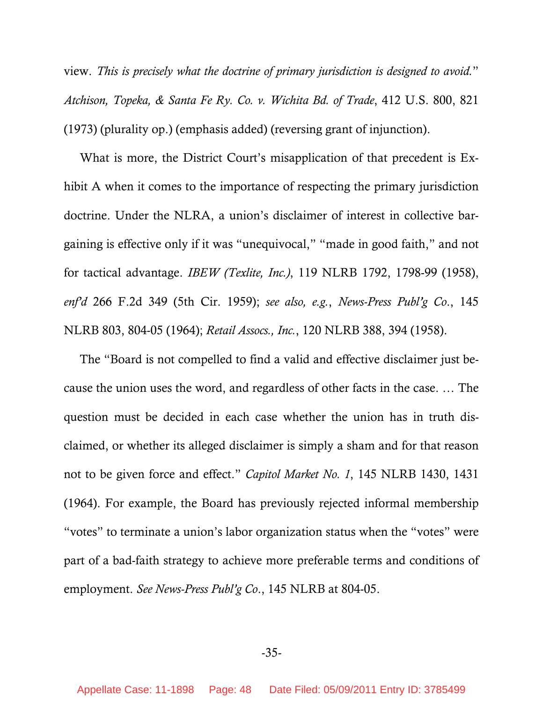view. *This is precisely what the doctrine of primary jurisdiction is designed to avoid.*" *Atchison, Topeka, & Santa Fe Ry. Co. v. Wichita Bd. of Trade*, 412 U.S. 800, 821 (1973) (plurality op.) (emphasis added) (reversing grant of injunction).

What is more, the District Court's misapplication of that precedent is Exhibit A when it comes to the importance of respecting the primary jurisdiction doctrine. Under the NLRA, a union's disclaimer of interest in collective bargaining is effective only if it was "unequivocal," "made in good faith," and not for tactical advantage. *IBEW (Texlite, Inc.)*, 119 NLRB 1792, 1798-99 (1958), *enf'd* 266 F.2d 349 (5th Cir. 1959); *see also, e.g.*, *News-Press Publ'g Co*., 145 NLRB 803, 804-05 (1964); *Retail Assocs., Inc.*, 120 NLRB 388, 394 (1958).

The "Board is not compelled to find a valid and effective disclaimer just because the union uses the word, and regardless of other facts in the case. … The question must be decided in each case whether the union has in truth disclaimed, or whether its alleged disclaimer is simply a sham and for that reason not to be given force and effect." *Capitol Market No. 1*, 145 NLRB 1430, 1431 (1964). For example, the Board has previously rejected informal membership "votes" to terminate a union's labor organization status when the "votes" were part of a bad-faith strategy to achieve more preferable terms and conditions of employment. *See News-Press Publ'g Co*., 145 NLRB at 804-05.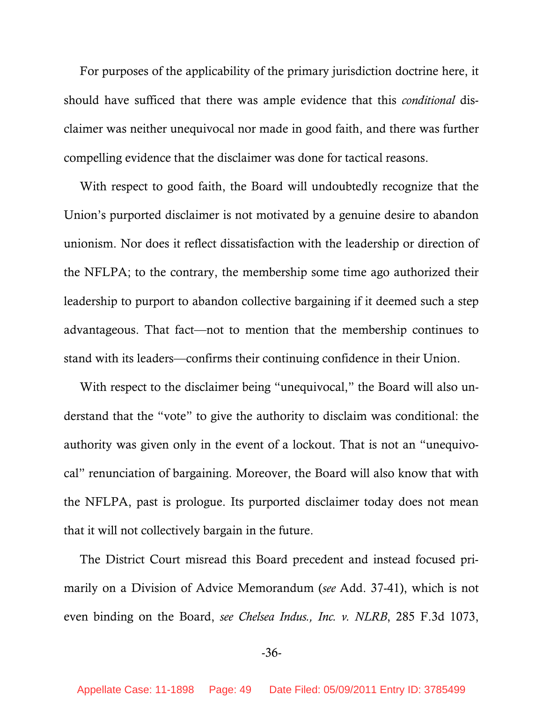For purposes of the applicability of the primary jurisdiction doctrine here, it should have sufficed that there was ample evidence that this *conditional* disclaimer was neither unequivocal nor made in good faith, and there was further compelling evidence that the disclaimer was done for tactical reasons.

With respect to good faith, the Board will undoubtedly recognize that the Union's purported disclaimer is not motivated by a genuine desire to abandon unionism. Nor does it reflect dissatisfaction with the leadership or direction of the NFLPA; to the contrary, the membership some time ago authorized their leadership to purport to abandon collective bargaining if it deemed such a step advantageous. That fact—not to mention that the membership continues to stand with its leaders—confirms their continuing confidence in their Union.

With respect to the disclaimer being "unequivocal," the Board will also understand that the "vote" to give the authority to disclaim was conditional: the authority was given only in the event of a lockout. That is not an "unequivocal" renunciation of bargaining. Moreover, the Board will also know that with the NFLPA, past is prologue. Its purported disclaimer today does not mean that it will not collectively bargain in the future.

The District Court misread this Board precedent and instead focused primarily on a Division of Advice Memorandum (*see* Add. 37-41), which is not even binding on the Board, *see Chelsea Indus., Inc. v. NLRB*, 285 F.3d 1073,

### -36-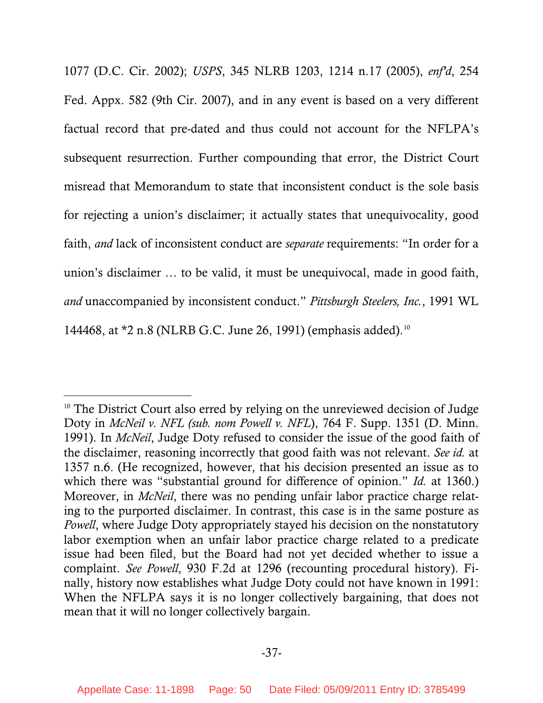1077 (D.C. Cir. 2002); *USPS*, 345 NLRB 1203, 1214 n.17 (2005), *enf'd*, 254 Fed. Appx. 582 (9th Cir. 2007), and in any event is based on a very different factual record that pre-dated and thus could not account for the NFLPA's subsequent resurrection. Further compounding that error, the District Court misread that Memorandum to state that inconsistent conduct is the sole basis for rejecting a union's disclaimer; it actually states that unequivocality, good faith, *and* lack of inconsistent conduct are *separate* requirements: "In order for a union's disclaimer … to be valid, it must be unequivocal, made in good faith, *and* unaccompanied by inconsistent conduct." *Pittsburgh Steelers, Inc.*, 1991 WL 144468, at \*2 n.8 (NLRB G.C. June 26, 1991) (emphasis added).<sup>[10](#page-49-0)</sup>

l

<span id="page-49-0"></span><sup>&</sup>lt;sup>10</sup> The District Court also erred by relying on the unreviewed decision of Judge Doty in *McNeil v. NFL (sub. nom Powell v. NFL*), 764 F. Supp. 1351 (D. Minn. 1991). In *McNeil*, Judge Doty refused to consider the issue of the good faith of the disclaimer, reasoning incorrectly that good faith was not relevant. *See id.* at 1357 n.6. (He recognized, however, that his decision presented an issue as to which there was "substantial ground for difference of opinion." *Id.* at 1360.) Moreover, in *McNeil*, there was no pending unfair labor practice charge relating to the purported disclaimer. In contrast, this case is in the same posture as *Powell*, where Judge Doty appropriately stayed his decision on the nonstatutory labor exemption when an unfair labor practice charge related to a predicate issue had been filed, but the Board had not yet decided whether to issue a complaint. *See Powell*, 930 F.2d at 1296 (recounting procedural history). Finally, history now establishes what Judge Doty could not have known in 1991: When the NFLPA says it is no longer collectively bargaining, that does not mean that it will no longer collectively bargain.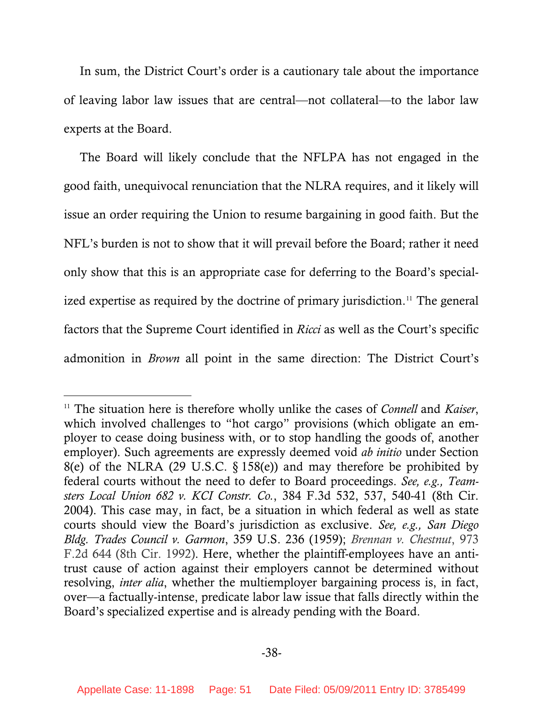In sum, the District Court's order is a cautionary tale about the importance of leaving labor law issues that are central—not collateral—to the labor law experts at the Board.

The Board will likely conclude that the NFLPA has not engaged in the good faith, unequivocal renunciation that the NLRA requires, and it likely will issue an order requiring the Union to resume bargaining in good faith. But the NFL's burden is not to show that it will prevail before the Board; rather it need only show that this is an appropriate case for deferring to the Board's special-ized expertise as required by the doctrine of primary jurisdiction.<sup>[11](#page-50-0)</sup> The general factors that the Supreme Court identified in *Ricci* as well as the Court's specific admonition in *Brown* all point in the same direction: The District Court's

 $\overline{a}$ 

<span id="page-50-0"></span><sup>11</sup> The situation here is therefore wholly unlike the cases of *Connell* and *Kaiser*, which involved challenges to "hot cargo" provisions (which obligate an employer to cease doing business with, or to stop handling the goods of, another employer). Such agreements are expressly deemed void *ab initio* under Section 8(e) of the NLRA (29 U.S.C. § 158(e)) and may therefore be prohibited by federal courts without the need to defer to Board proceedings. *See, e.g., Teamsters Local Union 682 v. KCI Constr. Co.*, 384 F.3d 532, 537, 540-41 (8th Cir. 2004). This case may, in fact, be a situation in which federal as well as state courts should view the Board's jurisdiction as exclusive. *See, e.g., San Diego Bldg. Trades Council v. Garmon*, 359 U.S. 236 (1959); *Brennan v. Chestnut*, 973 F.2d 644 (8th Cir. 1992). Here, whether the plaintiff-employees have an antitrust cause of action against their employers cannot be determined without resolving, *inter alia*, whether the multiemployer bargaining process is, in fact, over—a factually-intense, predicate labor law issue that falls directly within the Board's specialized expertise and is already pending with the Board.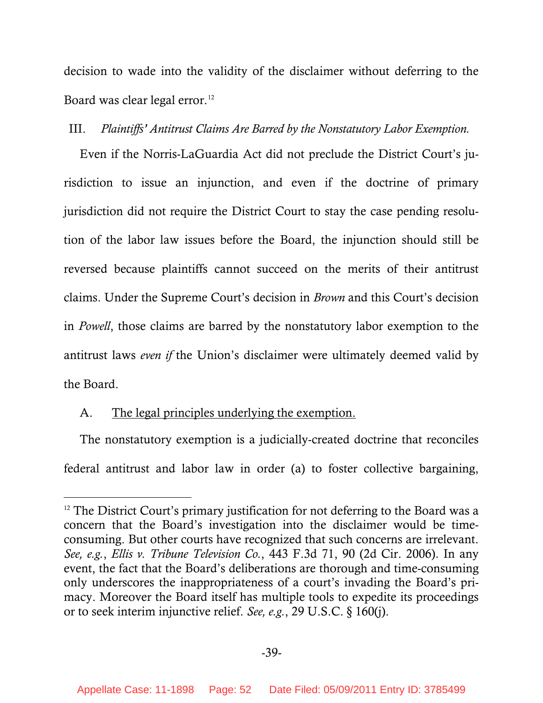decision to wade into the validity of the disclaimer without deferring to the Board was clear legal error.<sup>[12](#page-51-0)</sup>

# III. *Plaintiffs' Antitrust Claims Are Barred by the Nonstatutory Labor Exemption.*

Even if the Norris-LaGuardia Act did not preclude the District Court's jurisdiction to issue an injunction, and even if the doctrine of primary jurisdiction did not require the District Court to stay the case pending resolution of the labor law issues before the Board, the injunction should still be reversed because plaintiffs cannot succeed on the merits of their antitrust claims. Under the Supreme Court's decision in *Brown* and this Court's decision in *Powell*, those claims are barred by the nonstatutory labor exemption to the antitrust laws *even if* the Union's disclaimer were ultimately deemed valid by the Board.

# A. The legal principles underlying the exemption.

-

The nonstatutory exemption is a judicially-created doctrine that reconciles federal antitrust and labor law in order (a) to foster collective bargaining,

<span id="page-51-0"></span> $12$  The District Court's primary justification for not deferring to the Board was a concern that the Board's investigation into the disclaimer would be timeconsuming. But other courts have recognized that such concerns are irrelevant. *See, e.g.*, *Ellis v. Tribune Television Co.*, 443 F.3d 71, 90 (2d Cir. 2006). In any event, the fact that the Board's deliberations are thorough and time-consuming only underscores the inappropriateness of a court's invading the Board's primacy. Moreover the Board itself has multiple tools to expedite its proceedings or to seek interim injunctive relief. *See, e.g.*, 29 U.S.C. § 160(j).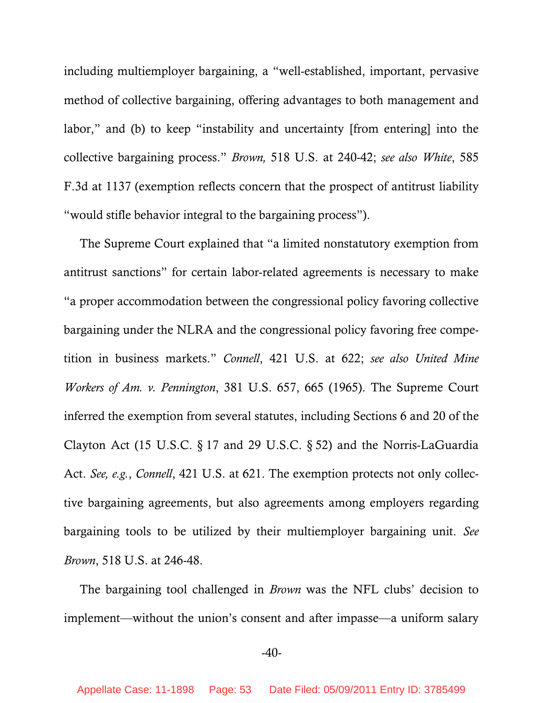including multiemployer bargaining, a "well-established, important, pervasive method of collective bargaining, offering advantages to both management and labor," and (b) to keep "instability and uncertainty [from entering] into the collective bargaining process." *Brown,* 518 U.S. at 240-42; *see also White*, 585 F.3d at 1137 (exemption reflects concern that the prospect of antitrust liability "would stifle behavior integral to the bargaining process").

The Supreme Court explained that "a limited nonstatutory exemption from antitrust sanctions" for certain labor-related agreements is necessary to make "a proper accommodation between the congressional policy favoring collective bargaining under the NLRA and the congressional policy favoring free competition in business markets." *Connell*, 421 U.S. at 622; *see also United Mine Workers of Am. v. Pennington*, 381 U.S. 657, 665 (1965). The Supreme Court inferred the exemption from several statutes, including Sections 6 and 20 of the Clayton Act (15 U.S.C. § 17 and 29 U.S.C. § 52) and the Norris-LaGuardia Act. *See, e.g.*, *Connell*, 421 U.S. at 621. The exemption protects not only collective bargaining agreements, but also agreements among employers regarding bargaining tools to be utilized by their multiemployer bargaining unit. *See Brown*, 518 U.S. at 246-48.

The bargaining tool challenged in *Brown* was the NFL clubs' decision to implement—without the union's consent and after impasse—a uniform salary

### -40-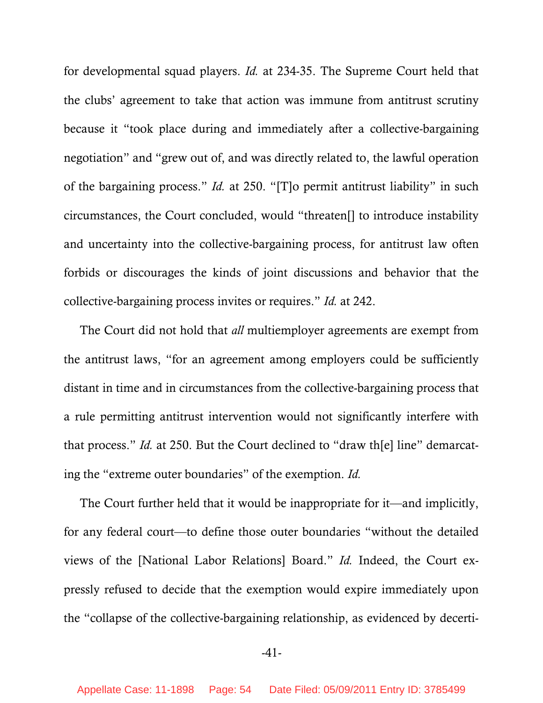for developmental squad players. *Id.* at 234-35. The Supreme Court held that the clubs' agreement to take that action was immune from antitrust scrutiny because it "took place during and immediately after a collective-bargaining negotiation" and "grew out of, and was directly related to, the lawful operation of the bargaining process." *Id.* at 250. "[T]o permit antitrust liability" in such circumstances, the Court concluded, would "threaten[] to introduce instability and uncertainty into the collective-bargaining process, for antitrust law often forbids or discourages the kinds of joint discussions and behavior that the collective-bargaining process invites or requires." *Id.* at 242.

The Court did not hold that *all* multiemployer agreements are exempt from the antitrust laws, "for an agreement among employers could be sufficiently distant in time and in circumstances from the collective-bargaining process that a rule permitting antitrust intervention would not significantly interfere with that process." *Id.* at 250. But the Court declined to "draw th[e] line" demarcating the "extreme outer boundaries" of the exemption. *Id.*

The Court further held that it would be inappropriate for it—and implicitly, for any federal court—to define those outer boundaries "without the detailed views of the [National Labor Relations] Board." *Id.* Indeed, the Court expressly refused to decide that the exemption would expire immediately upon the "collapse of the collective-bargaining relationship, as evidenced by decerti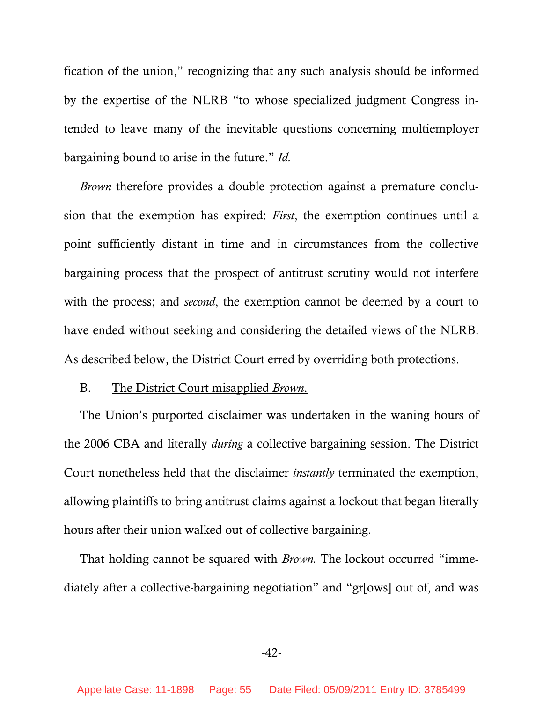fication of the union," recognizing that any such analysis should be informed by the expertise of the NLRB "to whose specialized judgment Congress intended to leave many of the inevitable questions concerning multiemployer bargaining bound to arise in the future." *Id.* 

*Brown* therefore provides a double protection against a premature conclusion that the exemption has expired: *First*, the exemption continues until a point sufficiently distant in time and in circumstances from the collective bargaining process that the prospect of antitrust scrutiny would not interfere with the process; and *second*, the exemption cannot be deemed by a court to have ended without seeking and considering the detailed views of the NLRB. As described below, the District Court erred by overriding both protections.

# B. The District Court misapplied *Brown*.

The Union's purported disclaimer was undertaken in the waning hours of the 2006 CBA and literally *during* a collective bargaining session. The District Court nonetheless held that the disclaimer *instantly* terminated the exemption, allowing plaintiffs to bring antitrust claims against a lockout that began literally hours after their union walked out of collective bargaining.

That holding cannot be squared with *Brown.* The lockout occurred "immediately after a collective-bargaining negotiation" and "gr[ows] out of, and was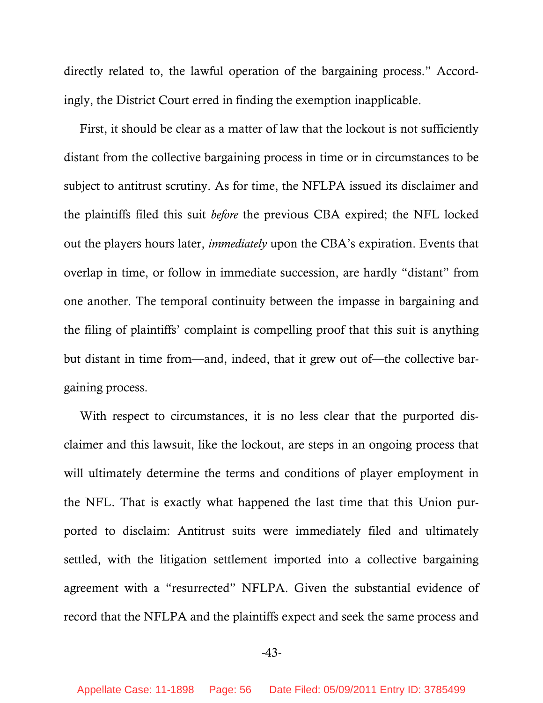directly related to, the lawful operation of the bargaining process." Accordingly, the District Court erred in finding the exemption inapplicable.

First, it should be clear as a matter of law that the lockout is not sufficiently distant from the collective bargaining process in time or in circumstances to be subject to antitrust scrutiny. As for time, the NFLPA issued its disclaimer and the plaintiffs filed this suit *before* the previous CBA expired; the NFL locked out the players hours later, *immediately* upon the CBA's expiration. Events that overlap in time, or follow in immediate succession, are hardly "distant" from one another. The temporal continuity between the impasse in bargaining and the filing of plaintiffs' complaint is compelling proof that this suit is anything but distant in time from—and, indeed, that it grew out of—the collective bargaining process.

With respect to circumstances, it is no less clear that the purported disclaimer and this lawsuit, like the lockout, are steps in an ongoing process that will ultimately determine the terms and conditions of player employment in the NFL. That is exactly what happened the last time that this Union purported to disclaim: Antitrust suits were immediately filed and ultimately settled, with the litigation settlement imported into a collective bargaining agreement with a "resurrected" NFLPA. Given the substantial evidence of record that the NFLPA and the plaintiffs expect and seek the same process and

-43-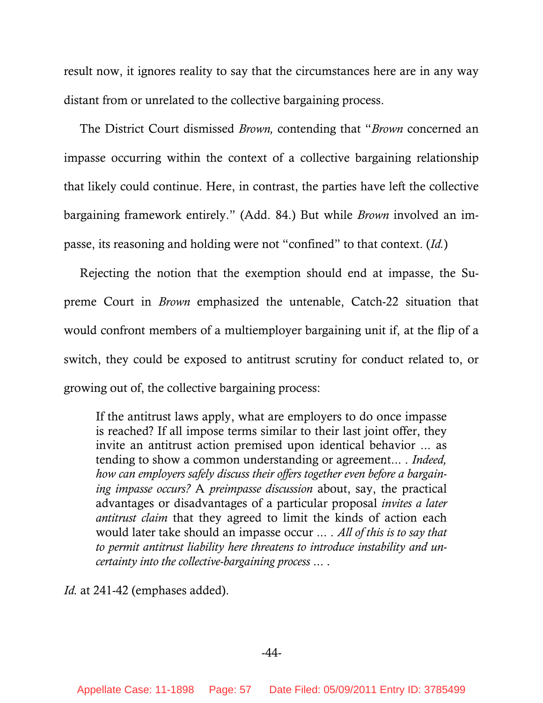result now, it ignores reality to say that the circumstances here are in any way distant from or unrelated to the collective bargaining process.

The District Court dismissed *Brown,* contending that "*Brown* concerned an impasse occurring within the context of a collective bargaining relationship that likely could continue. Here, in contrast, the parties have left the collective bargaining framework entirely." (Add. 84.) But while *Brown* involved an impasse, its reasoning and holding were not "confined" to that context. (*Id.*)

Rejecting the notion that the exemption should end at impasse, the Supreme Court in *Brown* emphasized the untenable, Catch-22 situation that would confront members of a multiemployer bargaining unit if, at the flip of a switch, they could be exposed to antitrust scrutiny for conduct related to, or growing out of, the collective bargaining process:

If the antitrust laws apply, what are employers to do once impasse is reached? If all impose terms similar to their last joint offer, they invite an antitrust action premised upon identical behavior ... as tending to show a common understanding or agreement... . *Indeed, how can employers safely discuss their offers together even before a bargaining impasse occurs?* A *preimpasse discussion* about, say, the practical advantages or disadvantages of a particular proposal *invites a later antitrust claim* that they agreed to limit the kinds of action each would later take should an impasse occur ... . *All of this is to say that to permit antitrust liability here threatens to introduce instability and uncertainty into the collective-bargaining process* ... .

*Id.* at 241-42 (emphases added).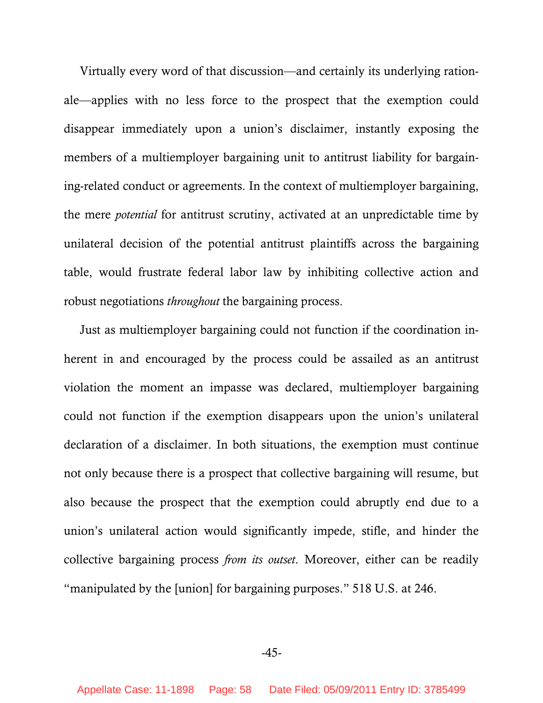Virtually every word of that discussion—and certainly its underlying rationale—applies with no less force to the prospect that the exemption could disappear immediately upon a union's disclaimer, instantly exposing the members of a multiemployer bargaining unit to antitrust liability for bargaining-related conduct or agreements. In the context of multiemployer bargaining, the mere *potential* for antitrust scrutiny, activated at an unpredictable time by unilateral decision of the potential antitrust plaintiffs across the bargaining table, would frustrate federal labor law by inhibiting collective action and robust negotiations *throughout* the bargaining process.

Just as multiemployer bargaining could not function if the coordination inherent in and encouraged by the process could be assailed as an antitrust violation the moment an impasse was declared, multiemployer bargaining could not function if the exemption disappears upon the union's unilateral declaration of a disclaimer. In both situations, the exemption must continue not only because there is a prospect that collective bargaining will resume, but also because the prospect that the exemption could abruptly end due to a union's unilateral action would significantly impede, stifle, and hinder the collective bargaining process *from its outset*. Moreover, either can be readily "manipulated by the [union] for bargaining purposes." 518 U.S. at 246.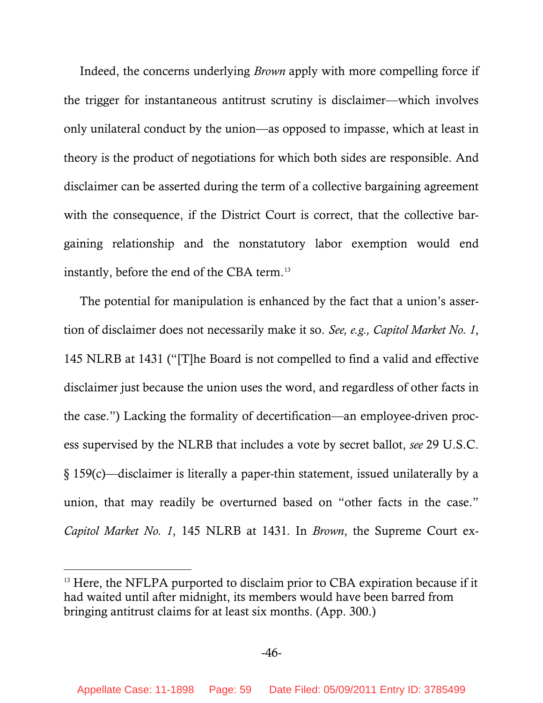Indeed, the concerns underlying *Brown* apply with more compelling force if the trigger for instantaneous antitrust scrutiny is disclaimer—which involves only unilateral conduct by the union—as opposed to impasse, which at least in theory is the product of negotiations for which both sides are responsible. And disclaimer can be asserted during the term of a collective bargaining agreement with the consequence, if the District Court is correct, that the collective bargaining relationship and the nonstatutory labor exemption would end instantly, before the end of the CBA term.<sup>[13](#page-58-0)</sup>

The potential for manipulation is enhanced by the fact that a union's assertion of disclaimer does not necessarily make it so. *See, e.g., Capitol Market No. 1*, 145 NLRB at 1431 ("[T]he Board is not compelled to find a valid and effective disclaimer just because the union uses the word, and regardless of other facts in the case.") Lacking the formality of decertification—an employee-driven process supervised by the NLRB that includes a vote by secret ballot, *see* 29 U.S.C. § 159(c)—disclaimer is literally a paper-thin statement, issued unilaterally by a union, that may readily be overturned based on "other facts in the case." *Capitol Market No. 1*, 145 NLRB at 1431*.* In *Brown*, the Supreme Court ex-

 $\overline{a}$ 

<span id="page-58-0"></span><sup>&</sup>lt;sup>13</sup> Here, the NFLPA purported to disclaim prior to CBA expiration because if it had waited until after midnight, its members would have been barred from bringing antitrust claims for at least six months. (App. 300.)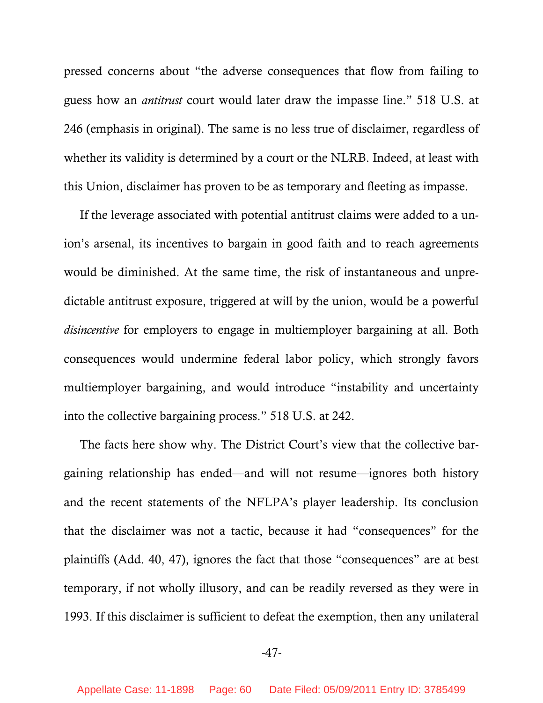pressed concerns about "the adverse consequences that flow from failing to guess how an *antitrust* court would later draw the impasse line." 518 U.S. at 246 (emphasis in original). The same is no less true of disclaimer, regardless of whether its validity is determined by a court or the NLRB. Indeed, at least with this Union, disclaimer has proven to be as temporary and fleeting as impasse.

If the leverage associated with potential antitrust claims were added to a union's arsenal, its incentives to bargain in good faith and to reach agreements would be diminished. At the same time, the risk of instantaneous and unpredictable antitrust exposure, triggered at will by the union, would be a powerful *disincentive* for employers to engage in multiemployer bargaining at all. Both consequences would undermine federal labor policy, which strongly favors multiemployer bargaining, and would introduce "instability and uncertainty into the collective bargaining process." 518 U.S. at 242.

The facts here show why. The District Court's view that the collective bargaining relationship has ended—and will not resume—ignores both history and the recent statements of the NFLPA's player leadership. Its conclusion that the disclaimer was not a tactic, because it had "consequences" for the plaintiffs (Add. 40, 47), ignores the fact that those "consequences" are at best temporary, if not wholly illusory, and can be readily reversed as they were in 1993. If this disclaimer is sufficient to defeat the exemption, then any unilateral

-47-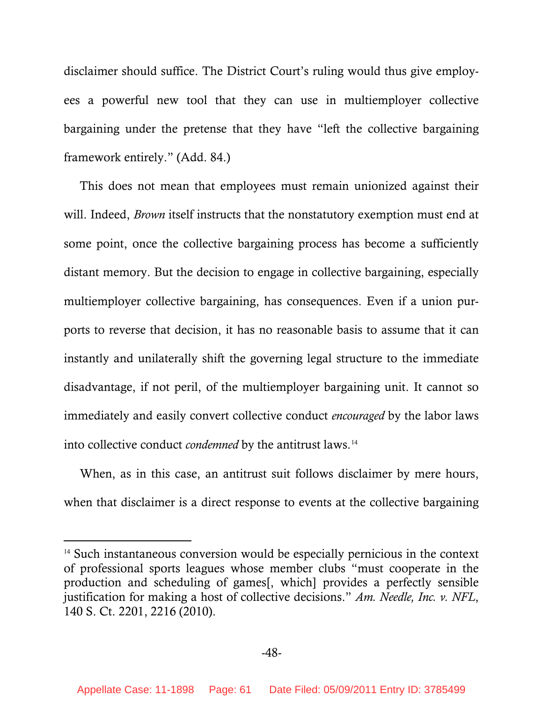disclaimer should suffice. The District Court's ruling would thus give employees a powerful new tool that they can use in multiemployer collective bargaining under the pretense that they have "left the collective bargaining framework entirely." (Add. 84.)

This does not mean that employees must remain unionized against their will. Indeed, *Brown* itself instructs that the nonstatutory exemption must end at some point, once the collective bargaining process has become a sufficiently distant memory. But the decision to engage in collective bargaining, especially multiemployer collective bargaining, has consequences. Even if a union purports to reverse that decision, it has no reasonable basis to assume that it can instantly and unilaterally shift the governing legal structure to the immediate disadvantage, if not peril, of the multiemployer bargaining unit. It cannot so immediately and easily convert collective conduct *encouraged* by the labor laws into collective conduct *condemned* by the antitrust laws.<sup>[14](#page-60-0)</sup>

When, as in this case, an antitrust suit follows disclaimer by mere hours, when that disclaimer is a direct response to events at the collective bargaining

-

<span id="page-60-0"></span><sup>&</sup>lt;sup>14</sup> Such instantaneous conversion would be especially pernicious in the context of professional sports leagues whose member clubs "must cooperate in the production and scheduling of games[, which] provides a perfectly sensible justification for making a host of collective decisions." *Am. Needle, Inc. v. NFL*, 140 S. Ct. 2201, 2216 (2010).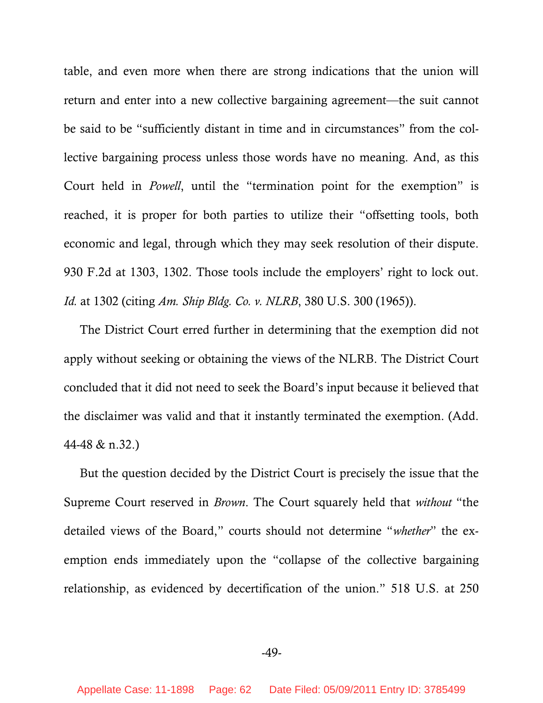table, and even more when there are strong indications that the union will return and enter into a new collective bargaining agreement—the suit cannot be said to be "sufficiently distant in time and in circumstances" from the collective bargaining process unless those words have no meaning. And, as this Court held in *Powell*, until the "termination point for the exemption" is reached, it is proper for both parties to utilize their "offsetting tools, both economic and legal, through which they may seek resolution of their dispute. 930 F.2d at 1303, 1302. Those tools include the employers' right to lock out. *Id.* at 1302 (citing *Am. Ship Bldg. Co. v. NLRB*, 380 U.S. 300 (1965)).

The District Court erred further in determining that the exemption did not apply without seeking or obtaining the views of the NLRB. The District Court concluded that it did not need to seek the Board's input because it believed that the disclaimer was valid and that it instantly terminated the exemption. (Add. 44-48 & n.32.)

But the question decided by the District Court is precisely the issue that the Supreme Court reserved in *Brown*. The Court squarely held that *without* "the detailed views of the Board," courts should not determine "*whether*" the exemption ends immediately upon the "collapse of the collective bargaining relationship, as evidenced by decertification of the union." 518 U.S. at 250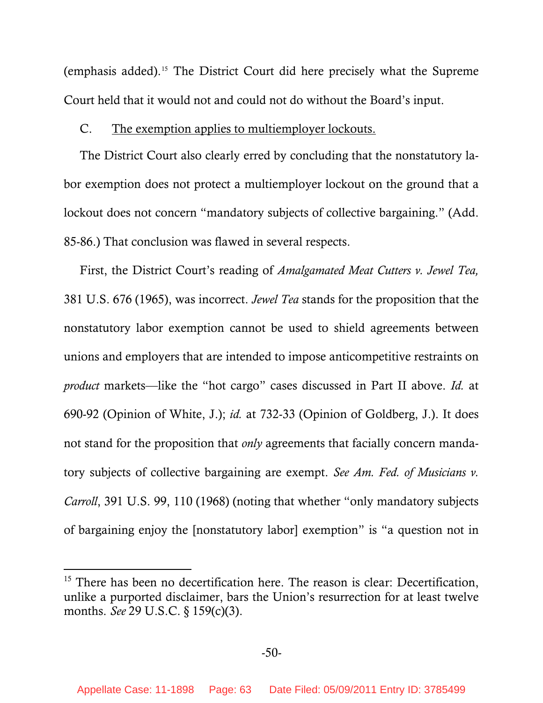(emphasis added).[15](#page-62-0) The District Court did here precisely what the Supreme Court held that it would not and could not do without the Board's input.

### C. The exemption applies to multiemployer lockouts.

The District Court also clearly erred by concluding that the nonstatutory labor exemption does not protect a multiemployer lockout on the ground that a lockout does not concern "mandatory subjects of collective bargaining." (Add. 85-86.) That conclusion was flawed in several respects.

First, the District Court's reading of *Amalgamated Meat Cutters v. Jewel Tea,*  381 U.S. 676 (1965), was incorrect. *Jewel Tea* stands for the proposition that the nonstatutory labor exemption cannot be used to shield agreements between unions and employers that are intended to impose anticompetitive restraints on *product* markets—like the "hot cargo" cases discussed in Part II above. *Id.* at 690-92 (Opinion of White, J.); *id.* at 732-33 (Opinion of Goldberg, J.). It does not stand for the proposition that *only* agreements that facially concern mandatory subjects of collective bargaining are exempt. *See Am. Fed. of Musicians v. Carroll*, 391 U.S. 99, 110 (1968) (noting that whether "only mandatory subjects of bargaining enjoy the [nonstatutory labor] exemption" is "a question not in

-

<span id="page-62-0"></span> $15$  There has been no decertification here. The reason is clear: Decertification, unlike a purported disclaimer, bars the Union's resurrection for at least twelve months. *See* 29 U.S.C. § 159(c)(3).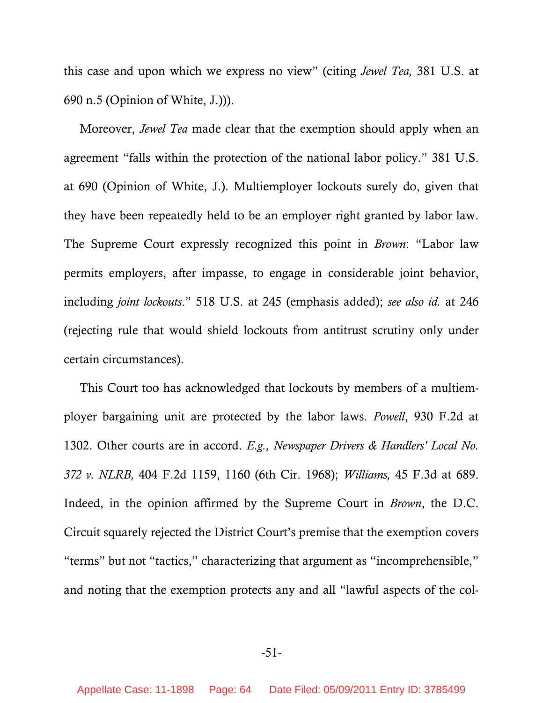this case and upon which we express no view" (citing *Jewel Tea,* 381 U.S. at 690 n.5 (Opinion of White, J.))).

Moreover, *Jewel Tea* made clear that the exemption should apply when an agreement "falls within the protection of the national labor policy." 381 U.S. at 690 (Opinion of White, J.). Multiemployer lockouts surely do, given that they have been repeatedly held to be an employer right granted by labor law. The Supreme Court expressly recognized this point in *Brown*: "Labor law permits employers, after impasse, to engage in considerable joint behavior, including *joint lockouts*." 518 U.S. at 245 (emphasis added); *see also id.* at 246 (rejecting rule that would shield lockouts from antitrust scrutiny only under certain circumstances).

This Court too has acknowledged that lockouts by members of a multiemployer bargaining unit are protected by the labor laws. *Powell*, 930 F.2d at 1302. Other courts are in accord. *E.g., Newspaper Drivers & Handlers' Local No. 372 v. NLRB,* 404 F.2d 1159, 1160 (6th Cir. 1968); *Williams,* 45 F.3d at 689. Indeed, in the opinion affirmed by the Supreme Court in *Brown*, the D.C. Circuit squarely rejected the District Court's premise that the exemption covers "terms" but not "tactics," characterizing that argument as "incomprehensible," and noting that the exemption protects any and all "lawful aspects of the col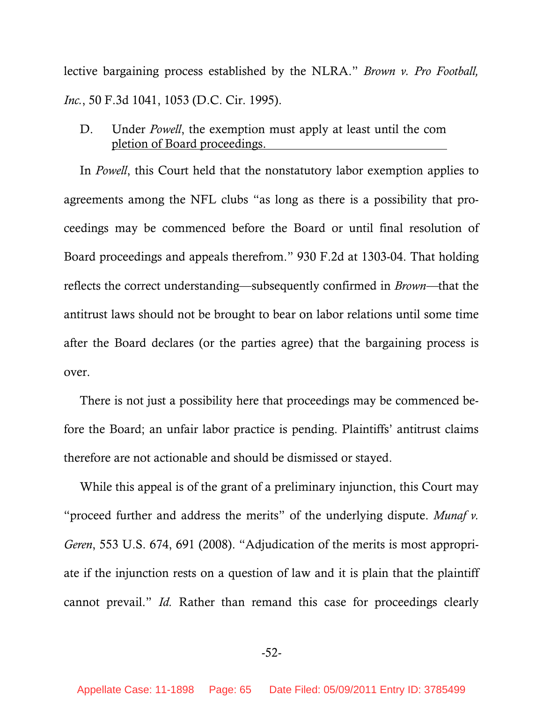lective bargaining process established by the NLRA." *Brown v. Pro Football, Inc.*, 50 F.3d 1041, 1053 (D.C. Cir. 1995).

D. Under *Powell*, the exemption must apply at least until the completion of Board proceedings.

In *Powell*, this Court held that the nonstatutory labor exemption applies to agreements among the NFL clubs "as long as there is a possibility that proceedings may be commenced before the Board or until final resolution of Board proceedings and appeals therefrom." 930 F.2d at 1303-04. That holding reflects the correct understanding—subsequently confirmed in *Brown—*that the antitrust laws should not be brought to bear on labor relations until some time after the Board declares (or the parties agree) that the bargaining process is over.

There is not just a possibility here that proceedings may be commenced before the Board; an unfair labor practice is pending. Plaintiffs' antitrust claims therefore are not actionable and should be dismissed or stayed.

While this appeal is of the grant of a preliminary injunction, this Court may "proceed further and address the merits" of the underlying dispute. *Munaf v. Geren*, 553 U.S. 674, 691 (2008). "Adjudication of the merits is most appropriate if the injunction rests on a question of law and it is plain that the plaintiff cannot prevail." *Id.* Rather than remand this case for proceedings clearly

-52-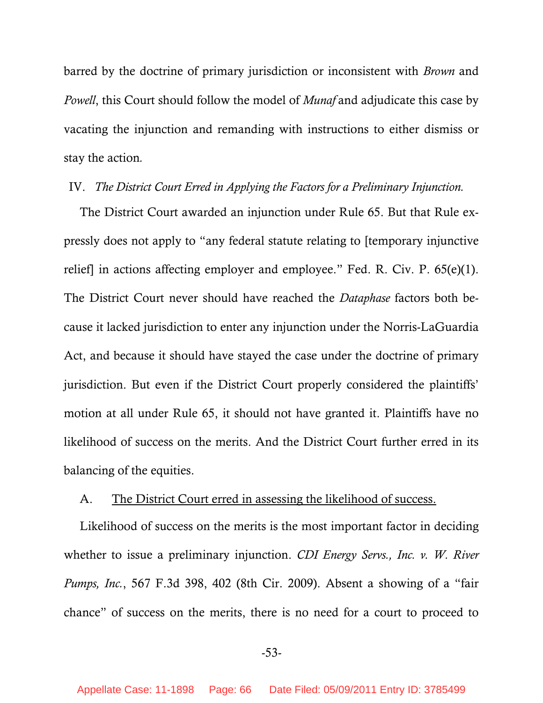barred by the doctrine of primary jurisdiction or inconsistent with *Brown* and *Powell*, this Court should follow the model of *Munaf* and adjudicate this case by vacating the injunction and remanding with instructions to either dismiss or stay the action*.*

# IV. *The District Court Erred in Applying the Factors for a Preliminary Injunction.*

The District Court awarded an injunction under Rule 65. But that Rule expressly does not apply to "any federal statute relating to [temporary injunctive relief] in actions affecting employer and employee." Fed. R. Civ. P. 65(e)(1). The District Court never should have reached the *Dataphase* factors both because it lacked jurisdiction to enter any injunction under the Norris-LaGuardia Act, and because it should have stayed the case under the doctrine of primary jurisdiction. But even if the District Court properly considered the plaintiffs' motion at all under Rule 65, it should not have granted it. Plaintiffs have no likelihood of success on the merits. And the District Court further erred in its balancing of the equities.

#### A. The District Court erred in assessing the likelihood of success.

Likelihood of success on the merits is the most important factor in deciding whether to issue a preliminary injunction. *CDI Energy Servs., Inc. v. W. River Pumps, Inc.*, 567 F.3d 398, 402 (8th Cir. 2009). Absent a showing of a "fair chance" of success on the merits, there is no need for a court to proceed to

### -53-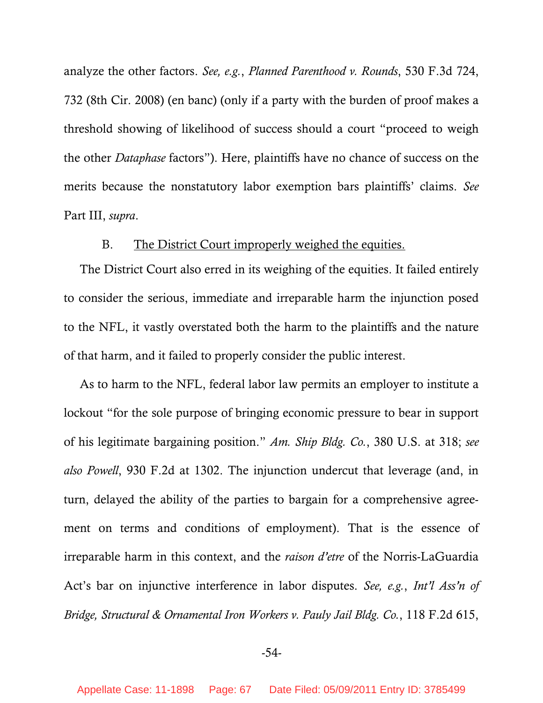analyze the other factors. *See, e.g.*, *Planned Parenthood v. Rounds*, 530 F.3d 724, 732 (8th Cir. 2008) (en banc) (only if a party with the burden of proof makes a threshold showing of likelihood of success should a court "proceed to weigh the other *Dataphase* factors"). Here, plaintiffs have no chance of success on the merits because the nonstatutory labor exemption bars plaintiffs' claims. *See*  Part III, *supra*.

# B. The District Court improperly weighed the equities.

The District Court also erred in its weighing of the equities. It failed entirely to consider the serious, immediate and irreparable harm the injunction posed to the NFL, it vastly overstated both the harm to the plaintiffs and the nature of that harm, and it failed to properly consider the public interest.

As to harm to the NFL, federal labor law permits an employer to institute a lockout "for the sole purpose of bringing economic pressure to bear in support of his legitimate bargaining position." *Am. Ship Bldg. Co.*, 380 U.S. at 318; *see also Powell*, 930 F.2d at 1302. The injunction undercut that leverage (and, in turn, delayed the ability of the parties to bargain for a comprehensive agreement on terms and conditions of employment). That is the essence of irreparable harm in this context, and the *raison d'etre* of the Norris-LaGuardia Act's bar on injunctive interference in labor disputes. *See, e.g.*, *Int'l Ass'n of Bridge, Structural & Ornamental Iron Workers v. Pauly Jail Bldg. Co.*, 118 F.2d 615,

### -54-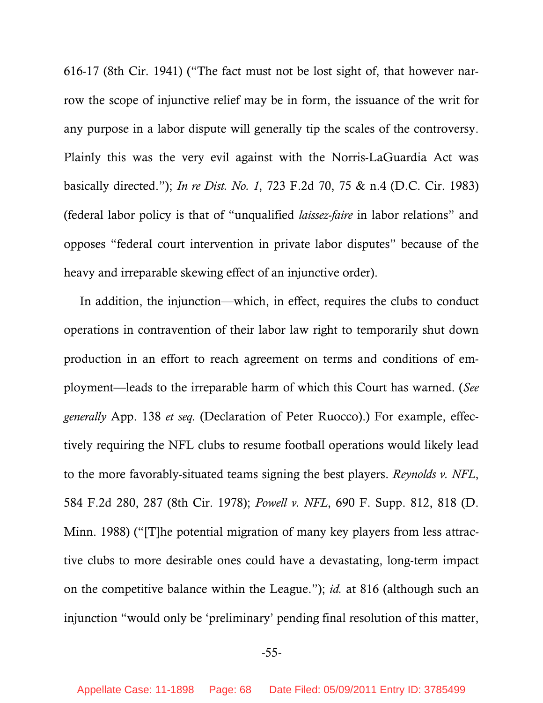616-17 (8th Cir. 1941) ("The fact must not be lost sight of, that however narrow the scope of injunctive relief may be in form, the issuance of the writ for any purpose in a labor dispute will generally tip the scales of the controversy. Plainly this was the very evil against with the Norris-LaGuardia Act was basically directed."); *In re Dist. No. 1*, 723 F.2d 70, 75 & n.4 (D.C. Cir. 1983) (federal labor policy is that of "unqualified *laissez-faire* in labor relations" and opposes "federal court intervention in private labor disputes" because of the heavy and irreparable skewing effect of an injunctive order).

In addition, the injunction—which, in effect, requires the clubs to conduct operations in contravention of their labor law right to temporarily shut down production in an effort to reach agreement on terms and conditions of employment—leads to the irreparable harm of which this Court has warned. (*See generally* App. 138 *et seq.* (Declaration of Peter Ruocco).) For example, effectively requiring the NFL clubs to resume football operations would likely lead to the more favorably-situated teams signing the best players. *Reynolds v. NFL*, 584 F.2d 280, 287 (8th Cir. 1978); *Powell v. NFL*, 690 F. Supp. 812, 818 (D. Minn. 1988) ("[T]he potential migration of many key players from less attractive clubs to more desirable ones could have a devastating, long-term impact on the competitive balance within the League."); *id.* at 816 (although such an injunction "would only be 'preliminary' pending final resolution of this matter,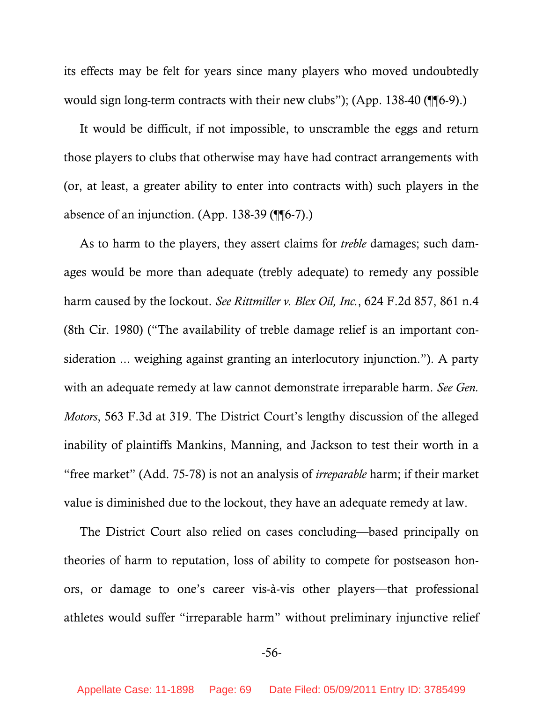its effects may be felt for years since many players who moved undoubtedly would sign long-term contracts with their new clubs"); (App. 138-40 (¶¶6-9).)

It would be difficult, if not impossible, to unscramble the eggs and return those players to clubs that otherwise may have had contract arrangements with (or, at least, a greater ability to enter into contracts with) such players in the absence of an injunction. (App. 138-39 (¶¶6-7).)

As to harm to the players, they assert claims for *treble* damages; such damages would be more than adequate (trebly adequate) to remedy any possible harm caused by the lockout. *See Rittmiller v. Blex Oil, Inc.*, 624 F.2d 857, 861 n.4 (8th Cir. 1980) ("The availability of treble damage relief is an important consideration ... weighing against granting an interlocutory injunction."). A party with an adequate remedy at law cannot demonstrate irreparable harm. *See Gen. Motors*, 563 F.3d at 319. The District Court's lengthy discussion of the alleged inability of plaintiffs Mankins, Manning, and Jackson to test their worth in a "free market" (Add. 75-78) is not an analysis of *irreparable* harm; if their market value is diminished due to the lockout, they have an adequate remedy at law.

The District Court also relied on cases concluding—based principally on theories of harm to reputation, loss of ability to compete for postseason honors, or damage to one's career vis-à-vis other players—that professional athletes would suffer "irreparable harm" without preliminary injunctive relief

### -56-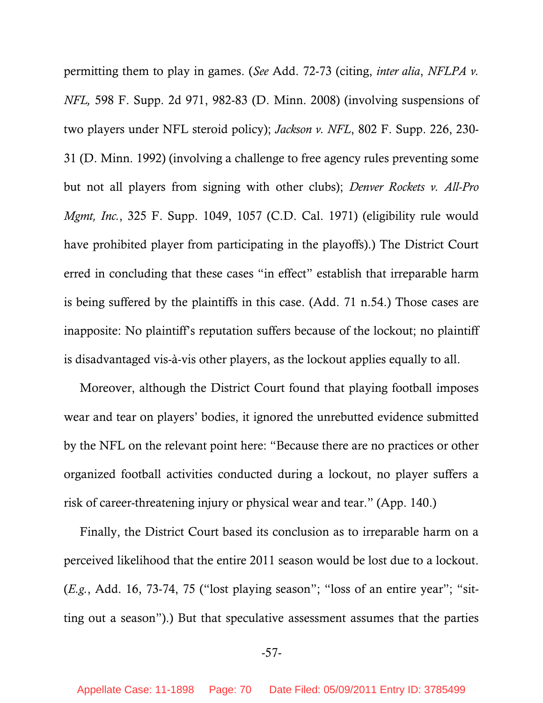permitting them to play in games. (*See* Add. 72-73 (citing, *inter alia*, *NFLPA v. NFL,* 598 F. Supp. 2d 971, 982-83 (D. Minn. 2008) (involving suspensions of two players under NFL steroid policy); *Jackson v. NFL*, 802 F. Supp. 226, 230- 31 (D. Minn. 1992) (involving a challenge to free agency rules preventing some but not all players from signing with other clubs); *Denver Rockets v. All-Pro Mgmt, Inc.*, 325 F. Supp. 1049, 1057 (C.D. Cal. 1971) (eligibility rule would have prohibited player from participating in the playoffs).) The District Court erred in concluding that these cases "in effect" establish that irreparable harm is being suffered by the plaintiffs in this case. (Add. 71 n.54.) Those cases are inapposite: No plaintiff's reputation suffers because of the lockout; no plaintiff is disadvantaged vis-à-vis other players, as the lockout applies equally to all.

Moreover, although the District Court found that playing football imposes wear and tear on players' bodies, it ignored the unrebutted evidence submitted by the NFL on the relevant point here: "Because there are no practices or other organized football activities conducted during a lockout, no player suffers a risk of career-threatening injury or physical wear and tear." (App. 140.)

Finally, the District Court based its conclusion as to irreparable harm on a perceived likelihood that the entire 2011 season would be lost due to a lockout. (*E.g.*, Add. 16, 73-74, 75 ("lost playing season"; "loss of an entire year"; "sitting out a season").) But that speculative assessment assumes that the parties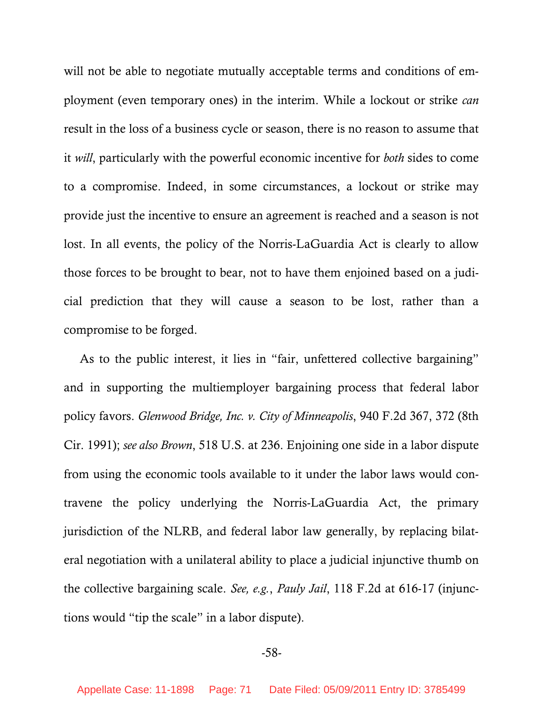will not be able to negotiate mutually acceptable terms and conditions of employment (even temporary ones) in the interim. While a lockout or strike *can* result in the loss of a business cycle or season, there is no reason to assume that it *will*, particularly with the powerful economic incentive for *both* sides to come to a compromise. Indeed, in some circumstances, a lockout or strike may provide just the incentive to ensure an agreement is reached and a season is not lost. In all events, the policy of the Norris-LaGuardia Act is clearly to allow those forces to be brought to bear, not to have them enjoined based on a judicial prediction that they will cause a season to be lost, rather than a compromise to be forged.

As to the public interest, it lies in "fair, unfettered collective bargaining" and in supporting the multiemployer bargaining process that federal labor policy favors. *Glenwood Bridge, Inc. v. City of Minneapolis*, 940 F.2d 367, 372 (8th Cir. 1991); *see also Brown*, 518 U.S. at 236. Enjoining one side in a labor dispute from using the economic tools available to it under the labor laws would contravene the policy underlying the Norris-LaGuardia Act, the primary jurisdiction of the NLRB, and federal labor law generally, by replacing bilateral negotiation with a unilateral ability to place a judicial injunctive thumb on the collective bargaining scale. *See, e.g.*, *Pauly Jail*, 118 F.2d at 616-17 (injunctions would "tip the scale" in a labor dispute).

### -58-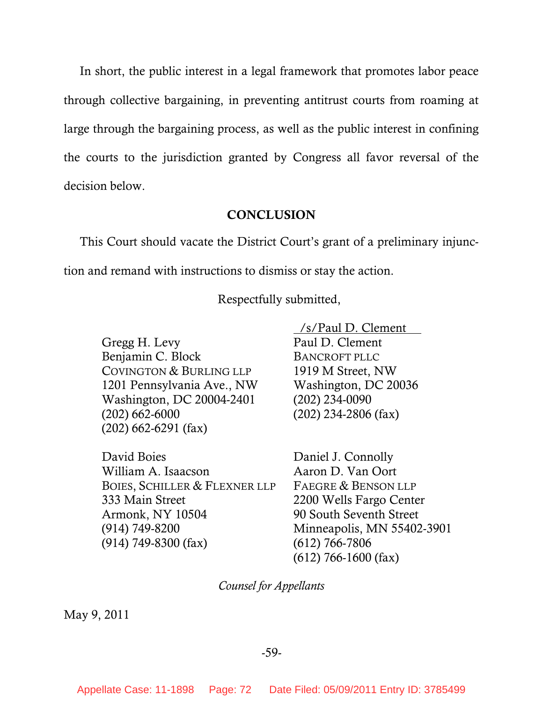In short, the public interest in a legal framework that promotes labor peace through collective bargaining, in preventing antitrust courts from roaming at large through the bargaining process, as well as the public interest in confining the courts to the jurisdiction granted by Congress all favor reversal of the decision below.

#### **CONCLUSION**

This Court should vacate the District Court's grant of a preliminary injunction and remand with instructions to dismiss or stay the action.

Respectfully submitted,

Gregg H. Levy Benjamin C. Block COVINGTON & BURLING LLP 1201 Pennsylvania Ave., NW Washington, DC 20004-2401 (202) 662-6000 (202) 662-6291 (fax)

David Boies William A. Isaacson BOIES, SCHILLER & FLEXNER LLP 333 Main Street Armonk, NY 10504 (914) 749-8200 (914) 749-8300 (fax)

 /s/Paul D. Clement Paul D. Clement BANCROFT PLLC 1919 M Street, NW Washington, DC 20036 (202) 234-0090 (202) 234-2806 (fax)

Daniel J. Connolly Aaron D. Van Oort FAEGRE & BENSON LLP 2200 Wells Fargo Center 90 South Seventh Street Minneapolis, MN 55402-3901 (612) 766-7806 (612) 766-1600 (fax)

*Counsel for Appellants*

May 9, 2011

### -59-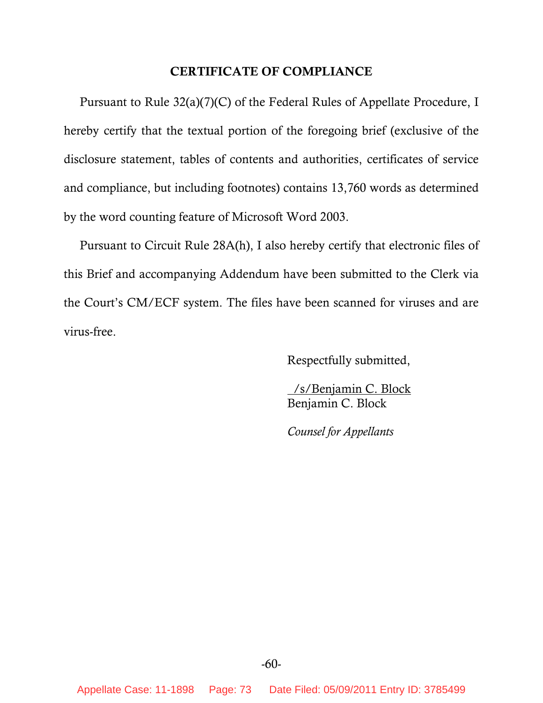## **CERTIFICATE OF COMPLIANCE**

Pursuant to Rule 32(a)(7)(C) of the Federal Rules of Appellate Procedure, I hereby certify that the textual portion of the foregoing brief (exclusive of the disclosure statement, tables of contents and authorities, certificates of service and compliance, but including footnotes) contains 13,760 words as determined by the word counting feature of Microsoft Word 2003.

Pursuant to Circuit Rule 28A(h), I also hereby certify that electronic files of this Brief and accompanying Addendum have been submitted to the Clerk via the Court's CM/ECF system. The files have been scanned for viruses and are virus-free.

Respectfully submitted,

 /s/Benjamin C. Block Benjamin C. Block

*Counsel for Appellants*